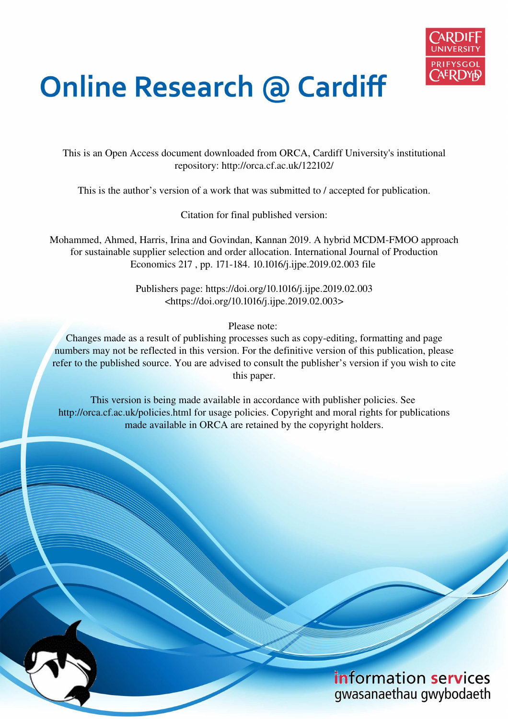

# **Online Research @ Cardiff**

This is an Open Access document downloaded from ORCA, Cardiff University's institutional repository: http://orca.cf.ac.uk/122102/

This is the author's version of a work that was submitted to / accepted for publication.

Citation for final published version:

Mohammed, Ahmed, Harris, Irina and Govindan, Kannan 2019. A hybrid MCDM-FMOO approach for sustainable supplier selection and order allocation. International Journal of Production Economics 217 , pp. 171-184. 10.1016/j.ijpe.2019.02.003 file

> Publishers page: https://doi.org/10.1016/j.ijpe.2019.02.003 <https://doi.org/10.1016/j.ijpe.2019.02.003>

> > Please note:

Changes made as a result of publishing processes such as copy-editing, formatting and page numbers may not be reflected in this version. For the definitive version of this publication, please refer to the published source. You are advised to consult the publisher's version if you wish to cite this paper.

This version is being made available in accordance with publisher policies. See http://orca.cf.ac.uk/policies.html for usage policies. Copyright and moral rights for publications made available in ORCA are retained by the copyright holders.

### information services gwasanaethau gwybodaeth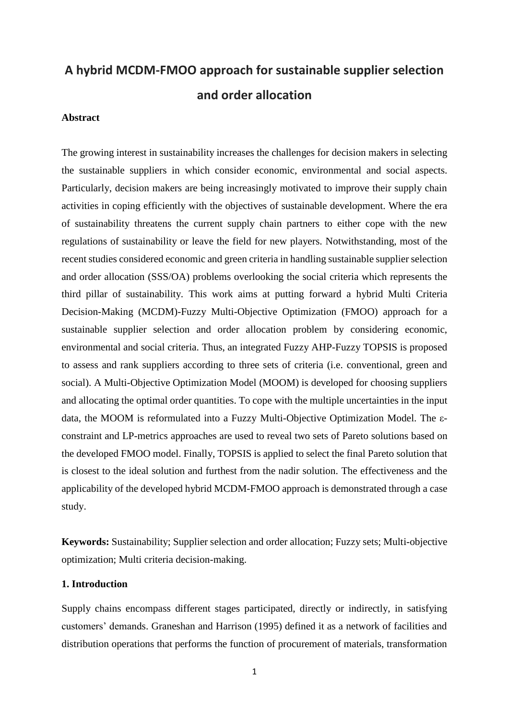## **A hybrid MCDM-FMOO approach for sustainable supplier selection and order allocation**

#### **Abstract**

The growing interest in sustainability increases the challenges for decision makers in selecting the sustainable suppliers in which consider economic, environmental and social aspects. Particularly, decision makers are being increasingly motivated to improve their supply chain activities in coping efficiently with the objectives of sustainable development. Where the era of sustainability threatens the current supply chain partners to either cope with the new regulations of sustainability or leave the field for new players. Notwithstanding, most of the recent studies considered economic and green criteria in handling sustainable supplier selection and order allocation (SSS/OA) problems overlooking the social criteria which represents the third pillar of sustainability. This work aims at putting forward a hybrid Multi Criteria Decision-Making (MCDM)-Fuzzy Multi-Objective Optimization (FMOO) approach for a sustainable supplier selection and order allocation problem by considering economic, environmental and social criteria. Thus, an integrated Fuzzy AHP-Fuzzy TOPSIS is proposed to assess and rank suppliers according to three sets of criteria (i.e. conventional, green and social). A Multi-Objective Optimization Model (MOOM) is developed for choosing suppliers and allocating the optimal order quantities. To cope with the multiple uncertainties in the input data, the MOOM is reformulated into a Fuzzy Multi-Objective Optimization Model. The εconstraint and LP-metrics approaches are used to reveal two sets of Pareto solutions based on the developed FMOO model. Finally, TOPSIS is applied to select the final Pareto solution that is closest to the ideal solution and furthest from the nadir solution. The effectiveness and the applicability of the developed hybrid MCDM-FMOO approach is demonstrated through a case study.

**Keywords:** Sustainability; Supplier selection and order allocation; Fuzzy sets; Multi-objective optimization; Multi criteria decision-making.

#### **1. Introduction**

Supply chains encompass different stages participated, directly or indirectly, in satisfying customers' demands. Graneshan and Harrison (1995) defined it as a network of facilities and distribution operations that performs the function of procurement of materials, transformation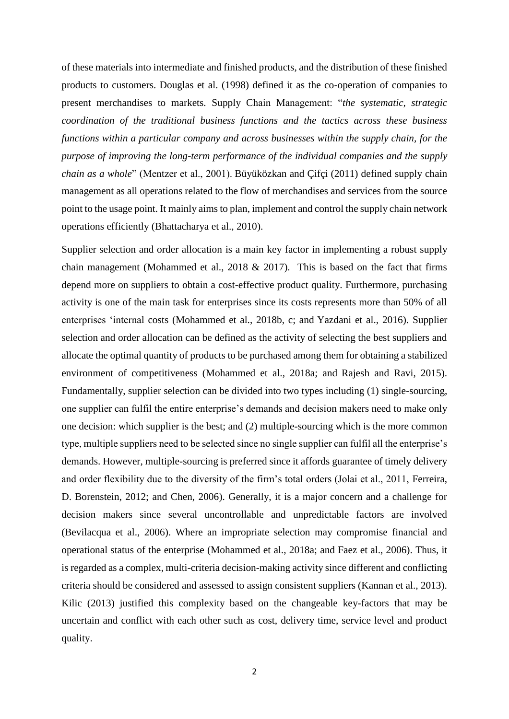of these materials into intermediate and finished products, and the distribution of these finished products to customers. Douglas et al. (1998) defined it as the co-operation of companies to present merchandises to markets. Supply Chain Management: "*the systematic, strategic coordination of the traditional business functions and the tactics across these business functions within a particular company and across businesses within the supply chain, for the purpose of improving the long-term performance of the individual companies and the supply chain as a whole*" (Mentzer et al., 2001). Büyüközkan and Çifçi (2011) defined supply chain management as all operations related to the flow of merchandises and services from the source point to the usage point. It mainly aims to plan, implement and control the supply chain network operations efficiently (Bhattacharya et al., 2010).

Supplier selection and order allocation is a main key factor in implementing a robust supply chain management (Mohammed et al., 2018 & 2017). This is based on the fact that firms depend more on suppliers to obtain a cost-effective product quality. Furthermore, purchasing activity is one of the main task for enterprises since its costs represents more than 50% of all enterprises 'internal costs (Mohammed et al., 2018b, c; and Yazdani et al., 2016). Supplier selection and order allocation can be defined as the activity of selecting the best suppliers and allocate the optimal quantity of products to be purchased among them for obtaining a stabilized environment of competitiveness (Mohammed et al., 2018a; and Rajesh and Ravi, 2015). Fundamentally, supplier selection can be divided into two types including (1) single-sourcing, one supplier can fulfil the entire enterprise's demands and decision makers need to make only one decision: which supplier is the best; and (2) multiple-sourcing which is the more common type, multiple suppliers need to be selected since no single supplier can fulfil all the enterprise's demands. However, multiple-sourcing is preferred since it affords guarantee of timely delivery and order flexibility due to the diversity of the firm's total orders (Jolai et al., 2011, Ferreira, D. Borenstein, 2012; and Chen, 2006). Generally, it is a major concern and a challenge for decision makers since several uncontrollable and unpredictable factors are involved (Bevilacqua et al., 2006). Where an impropriate selection may compromise financial and operational status of the enterprise (Mohammed et al., 2018a; and Faez et al., 2006). Thus, it is regarded as a complex, multi-criteria decision-making activity since different and conflicting criteria should be considered and assessed to assign consistent suppliers (Kannan et al., 2013). Kilic (2013) justified this complexity based on the changeable key-factors that may be uncertain and conflict with each other such as cost, delivery time, service level and product quality.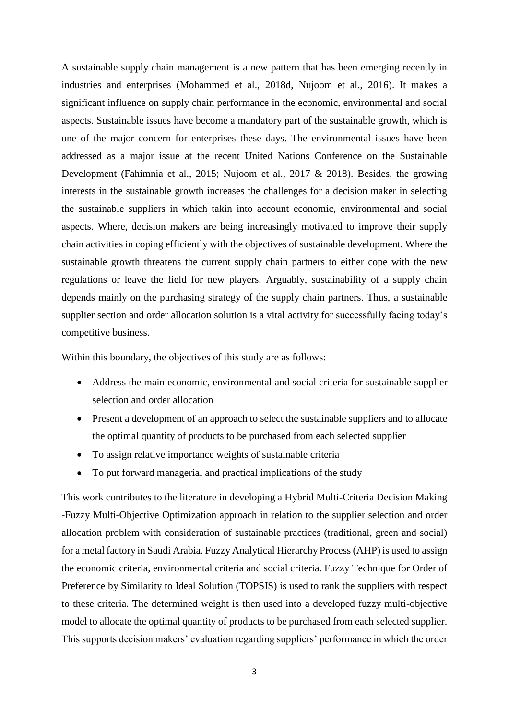A sustainable supply chain management is a new pattern that has been emerging recently in industries and enterprises (Mohammed et al., 2018d, Nujoom et al., 2016). It makes a significant influence on supply chain performance in the economic, environmental and social aspects. Sustainable issues have become a mandatory part of the sustainable growth, which is one of the major concern for enterprises these days. The environmental issues have been addressed as a major issue at the recent United Nations Conference on the Sustainable Development (Fahimnia et al., 2015; Nujoom et al., 2017 & 2018). Besides, the growing interests in the sustainable growth increases the challenges for a decision maker in selecting the sustainable suppliers in which takin into account economic, environmental and social aspects. Where, decision makers are being increasingly motivated to improve their supply chain activities in coping efficiently with the objectives of sustainable development. Where the sustainable growth threatens the current supply chain partners to either cope with the new regulations or leave the field for new players. Arguably, sustainability of a supply chain depends mainly on the purchasing strategy of the supply chain partners. Thus, a sustainable supplier section and order allocation solution is a vital activity for successfully facing today's competitive business.

Within this boundary, the objectives of this study are as follows:

- Address the main economic, environmental and social criteria for sustainable supplier selection and order allocation
- Present a development of an approach to select the sustainable suppliers and to allocate the optimal quantity of products to be purchased from each selected supplier
- To assign relative importance weights of sustainable criteria
- To put forward managerial and practical implications of the study

This work contributes to the literature in developing a Hybrid Multi-Criteria Decision Making -Fuzzy Multi-Objective Optimization approach in relation to the supplier selection and order allocation problem with consideration of sustainable practices (traditional, green and social) for a metal factory in Saudi Arabia. Fuzzy Analytical Hierarchy Process (AHP) is used to assign the economic criteria, environmental criteria and social criteria. Fuzzy Technique for Order of Preference by Similarity to Ideal Solution (TOPSIS) is used to rank the suppliers with respect to these criteria. The determined weight is then used into a developed fuzzy multi-objective model to allocate the optimal quantity of products to be purchased from each selected supplier. This supports decision makers' evaluation regarding suppliers' performance in which the order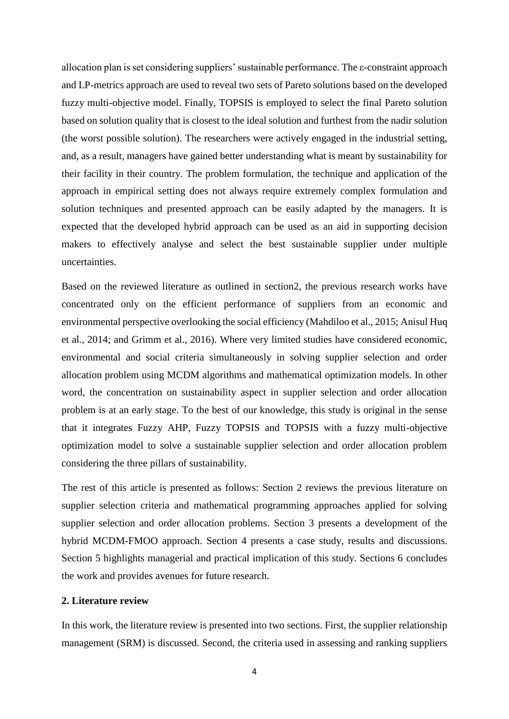allocation plan is set considering suppliers' sustainable performance. The ε-constraint approach and LP-metrics approach are used to reveal two sets of Pareto solutions based on the developed fuzzy multi-objective model. Finally, TOPSIS is employed to select the final Pareto solution based on solution quality that is closest to the ideal solution and furthest from the nadir solution (the worst possible solution). The researchers were actively engaged in the industrial setting, and, as a result, managers have gained better understanding what is meant by sustainability for their facility in their country. The problem formulation, the technique and application of the approach in empirical setting does not always require extremely complex formulation and solution techniques and presented approach can be easily adapted by the managers. It is expected that the developed hybrid approach can be used as an aid in supporting decision makers to effectively analyse and select the best sustainable supplier under multiple uncertainties.

Based on the reviewed literature as outlined in section2, the previous research works have concentrated only on the efficient performance of suppliers from an economic and environmental perspective overlooking the social efficiency (Mahdiloo et al., 2015; Anisul Huq et al., 2014; and Grimm et al., 2016). Where very limited studies have considered economic, environmental and social criteria simultaneously in solving supplier selection and order allocation problem using MCDM algorithms and mathematical optimization models. In other word, the concentration on sustainability aspect in supplier selection and order allocation problem is at an early stage. To the best of our knowledge, this study is original in the sense that it integrates Fuzzy AHP, Fuzzy TOPSIS and TOPSIS with a fuzzy multi-objective optimization model to solve a sustainable supplier selection and order allocation problem considering the three pillars of sustainability.

The rest of this article is presented as follows: Section 2 reviews the previous literature on supplier selection criteria and mathematical programming approaches applied for solving supplier selection and order allocation problems. Section 3 presents a development of the hybrid MCDM-FMOO approach. Section 4 presents a case study, results and discussions. Section 5 highlights managerial and practical implication of this study. Sections 6 concludes the work and provides avenues for future research.

#### **2. Literature review**

In this work, the literature review is presented into two sections. First, the supplier relationship management (SRM) is discussed. Second, the criteria used in assessing and ranking suppliers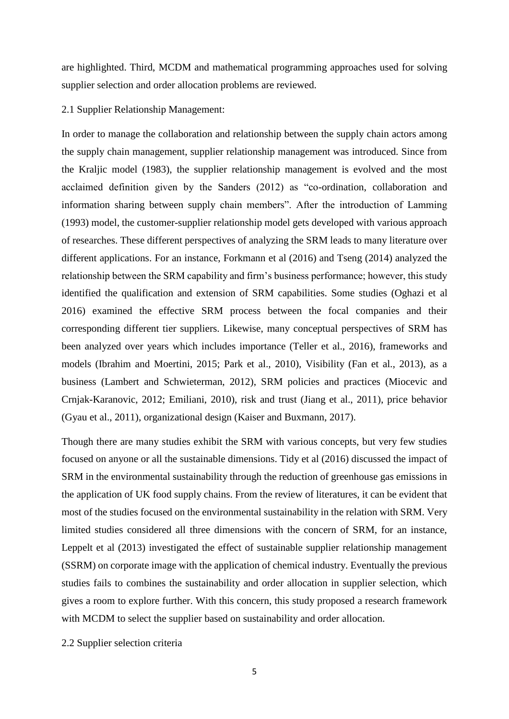are highlighted. Third, MCDM and mathematical programming approaches used for solving supplier selection and order allocation problems are reviewed.

#### 2.1 Supplier Relationship Management:

In order to manage the collaboration and relationship between the supply chain actors among the supply chain management, supplier relationship management was introduced. Since from the Kraljic model (1983), the supplier relationship management is evolved and the most acclaimed definition given by the Sanders (2012) as "co-ordination, collaboration and information sharing between supply chain members". After the introduction of Lamming (1993) model, the customer-supplier relationship model gets developed with various approach of researches. These different perspectives of analyzing the SRM leads to many literature over different applications. For an instance, Forkmann et al (2016) and Tseng (2014) analyzed the relationship between the SRM capability and firm's business performance; however, this study identified the qualification and extension of SRM capabilities. Some studies (Oghazi et al 2016) examined the effective SRM process between the focal companies and their corresponding different tier suppliers. Likewise, many conceptual perspectives of SRM has been analyzed over years which includes importance (Teller et al., 2016), frameworks and models (Ibrahim and Moertini, 2015; Park et al., 2010), Visibility (Fan et al., 2013), as a business (Lambert and Schwieterman, 2012), SRM policies and practices (Miocevic and Crnjak-Karanovic, 2012; Emiliani, 2010), risk and trust (Jiang et al., 2011), price behavior (Gyau et al., 2011), organizational design (Kaiser and Buxmann, 2017).

Though there are many studies exhibit the SRM with various concepts, but very few studies focused on anyone or all the sustainable dimensions. Tidy et al (2016) discussed the impact of SRM in the environmental sustainability through the reduction of greenhouse gas emissions in the application of UK food supply chains. From the review of literatures, it can be evident that most of the studies focused on the environmental sustainability in the relation with SRM. Very limited studies considered all three dimensions with the concern of SRM, for an instance, Leppelt et al (2013) investigated the effect of sustainable supplier relationship management (SSRM) on corporate image with the application of chemical industry. Eventually the previous studies fails to combines the sustainability and order allocation in supplier selection, which gives a room to explore further. With this concern, this study proposed a research framework with MCDM to select the supplier based on sustainability and order allocation.

2.2 Supplier selection criteria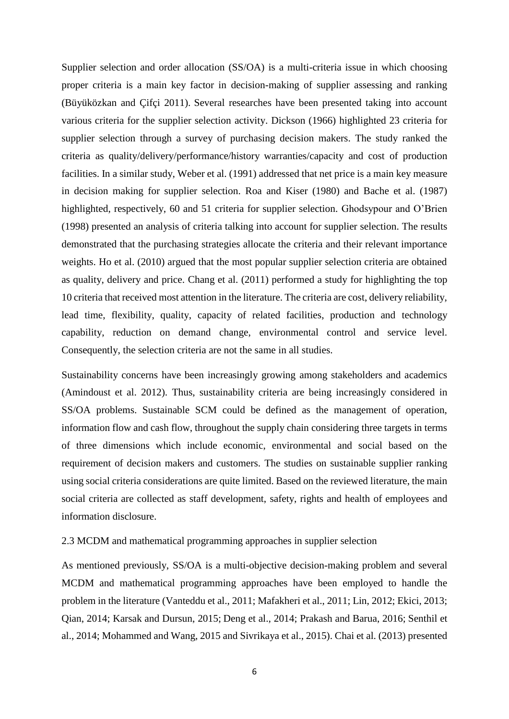Supplier selection and order allocation (SS/OA) is a multi-criteria issue in which choosing proper criteria is a main key factor in decision-making of supplier assessing and ranking (Büyüközkan and Çifçi 2011). Several researches have been presented taking into account various criteria for the supplier selection activity. Dickson (1966) highlighted 23 criteria for supplier selection through a survey of purchasing decision makers. The study ranked the criteria as quality/delivery/performance/history warranties/capacity and cost of production facilities. In a similar study, Weber et al. (1991) addressed that net price is a main key measure in decision making for supplier selection. Roa and Kiser (1980) and Bache et al. (1987) highlighted, respectively, 60 and 51 criteria for supplier selection. Ghodsypour and O'Brien (1998) presented an analysis of criteria talking into account for supplier selection. The results demonstrated that the purchasing strategies allocate the criteria and their relevant importance weights. Ho et al. (2010) argued that the most popular supplier selection criteria are obtained as quality, delivery and price. Chang et al. (2011) performed a study for highlighting the top 10 criteria that received most attention in the literature. The criteria are cost, delivery reliability, lead time, flexibility, quality, capacity of related facilities, production and technology capability, reduction on demand change, environmental control and service level. Consequently, the selection criteria are not the same in all studies.

Sustainability concerns have been increasingly growing among stakeholders and academics (Amindoust et al. 2012). Thus, sustainability criteria are being increasingly considered in SS/OA problems. Sustainable SCM could be defined as the management of operation, information flow and cash flow, throughout the supply chain considering three targets in terms of three dimensions which include economic, environmental and social based on the requirement of decision makers and customers. The studies on sustainable supplier ranking using social criteria considerations are quite limited. Based on the reviewed literature, the main social criteria are collected as staff development, safety, rights and health of employees and information disclosure.

#### 2.3 MCDM and mathematical programming approaches in supplier selection

As mentioned previously, SS/OA is a multi-objective decision-making problem and several MCDM and mathematical programming approaches have been employed to handle the problem in the literature (Vanteddu et al., 2011; Mafakheri et al., 2011; Lin, 2012; Ekici, 2013; Qian, 2014; Karsak and Dursun, 2015; Deng et al., 2014; Prakash and Barua, 2016; Senthil et al., 2014; Mohammed and Wang, 2015 and Sivrikaya et al., 2015). Chai et al. (2013) presented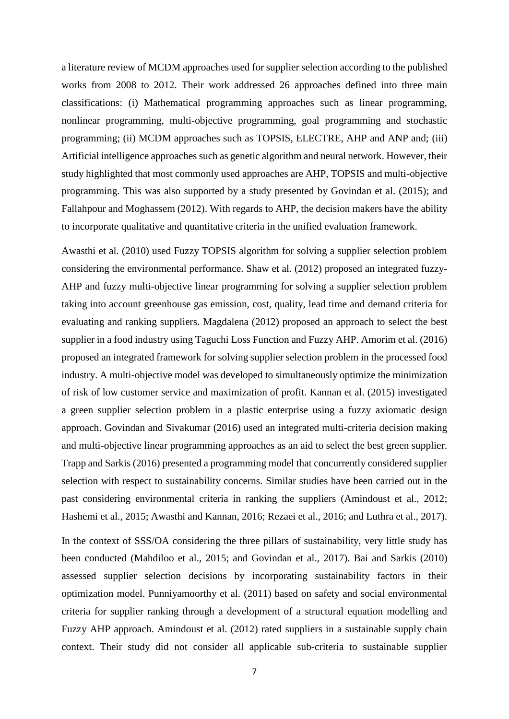a literature review of MCDM approaches used for supplier selection according to the published works from 2008 to 2012. Their work addressed 26 approaches defined into three main classifications: (i) Mathematical programming approaches such as linear programming, nonlinear programming, multi-objective programming, goal programming and stochastic programming; (ii) MCDM approaches such as TOPSIS, ELECTRE, AHP and ANP and; (iii) Artificial intelligence approaches such as genetic algorithm and neural network. However, their study highlighted that most commonly used approaches are AHP, TOPSIS and multi-objective programming. This was also supported by a study presented by Govindan et al. (2015); and Fallahpour and Moghassem (2012). With regards to AHP, the decision makers have the ability to incorporate qualitative and quantitative criteria in the unified evaluation framework.

Awasthi et al. (2010) used Fuzzy TOPSIS algorithm for solving a supplier selection problem considering the environmental performance. Shaw et al. (2012) proposed an integrated fuzzy-AHP and fuzzy multi-objective linear programming for solving a supplier selection problem taking into account greenhouse gas emission, cost, quality, lead time and demand criteria for evaluating and ranking suppliers. Magdalena (2012) proposed an approach to select the best supplier in a food industry using Taguchi Loss Function and Fuzzy AHP. Amorim et al. (2016) proposed an integrated framework for solving supplier selection problem in the processed food industry. A multi-objective model was developed to simultaneously optimize the minimization of risk of low customer service and maximization of profit. Kannan et al. (2015) investigated a green supplier selection problem in a plastic enterprise using a fuzzy axiomatic design approach. Govindan and Sivakumar (2016) used an integrated multi-criteria decision making and multi-objective linear programming approaches as an aid to select the best green supplier. Trapp and Sarkis (2016) presented a programming model that concurrently considered supplier selection with respect to sustainability concerns. Similar studies have been carried out in the past considering environmental criteria in ranking the suppliers (Amindoust et al., 2012; Hashemi et al., 2015; Awasthi and Kannan, 2016; Rezaei et al., 2016; and Luthra et al., 2017).

In the context of SSS/OA considering the three pillars of sustainability, very little study has been conducted (Mahdiloo et al., 2015; and Govindan et al., 2017). Bai and Sarkis (2010) assessed supplier selection decisions by incorporating sustainability factors in their optimization model. Punniyamoorthy et al. (2011) based on safety and social environmental criteria for supplier ranking through a development of a structural equation modelling and Fuzzy AHP approach. Amindoust et al. (2012) rated suppliers in a sustainable supply chain context. Their study did not consider all applicable sub-criteria to sustainable supplier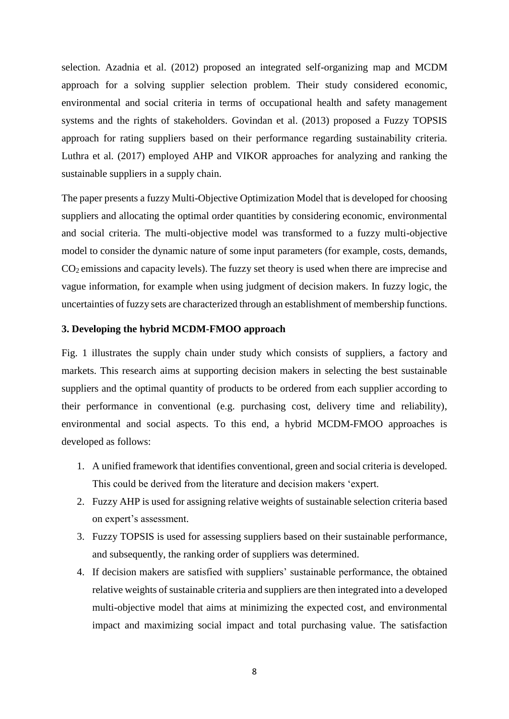selection. Azadnia et al. (2012) proposed an integrated self-organizing map and MCDM approach for a solving supplier selection problem. Their study considered economic, environmental and social criteria in terms of occupational health and safety management systems and the rights of stakeholders. Govindan et al. (2013) proposed a Fuzzy TOPSIS approach for rating suppliers based on their performance regarding sustainability criteria. Luthra et al. (2017) employed AHP and VIKOR approaches for analyzing and ranking the sustainable suppliers in a supply chain.

The paper presents a fuzzy Multi-Objective Optimization Model that is developed for choosing suppliers and allocating the optimal order quantities by considering economic, environmental and social criteria. The multi-objective model was transformed to a fuzzy multi-objective model to consider the dynamic nature of some input parameters (for example, costs, demands, CO2 emissions and capacity levels). The fuzzy set theory is used when there are imprecise and vague information, for example when using judgment of decision makers. In fuzzy logic, the uncertainties of fuzzy sets are characterized through an establishment of membership functions.

#### **3. Developing the hybrid MCDM-FMOO approach**

Fig. 1 illustrates the supply chain under study which consists of suppliers, a factory and markets. This research aims at supporting decision makers in selecting the best sustainable suppliers and the optimal quantity of products to be ordered from each supplier according to their performance in conventional (e.g. purchasing cost, delivery time and reliability), environmental and social aspects. To this end, a hybrid MCDM-FMOO approaches is developed as follows:

- 1. A unified framework that identifies conventional, green and social criteria is developed. This could be derived from the literature and decision makers 'expert.
- 2. Fuzzy AHP is used for assigning relative weights of sustainable selection criteria based on expert's assessment.
- 3. Fuzzy TOPSIS is used for assessing suppliers based on their sustainable performance, and subsequently, the ranking order of suppliers was determined.
- 4. If decision makers are satisfied with suppliers' sustainable performance, the obtained relative weights of sustainable criteria and suppliers are then integrated into a developed multi-objective model that aims at minimizing the expected cost, and environmental impact and maximizing social impact and total purchasing value. The satisfaction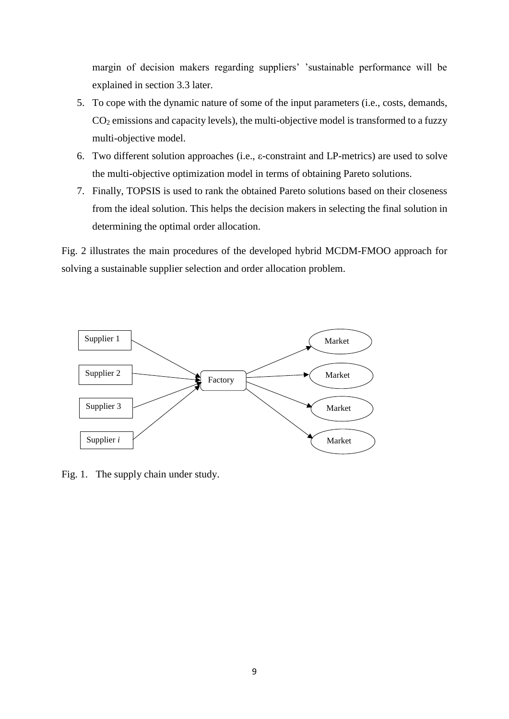margin of decision makers regarding suppliers' 'sustainable performance will be explained in section 3.3 later.

- 5. To cope with the dynamic nature of some of the input parameters (i.e., costs, demands, CO2 emissions and capacity levels), the multi-objective model is transformed to a fuzzy multi-objective model.
- 6. Two different solution approaches (i.e., ε-constraint and LP-metrics) are used to solve the multi-objective optimization model in terms of obtaining Pareto solutions.
- 7. Finally, TOPSIS is used to rank the obtained Pareto solutions based on their closeness from the ideal solution. This helps the decision makers in selecting the final solution in determining the optimal order allocation.

Fig. 2 illustrates the main procedures of the developed hybrid MCDM-FMOO approach for solving a sustainable supplier selection and order allocation problem.



Fig. 1. The supply chain under study.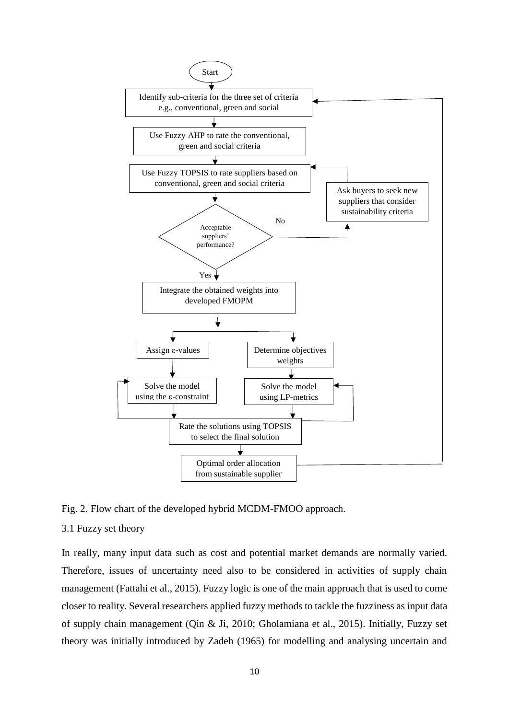

Fig. 2. Flow chart of the developed hybrid MCDM-FMOO approach.

#### 3.1 Fuzzy set theory

In really, many input data such as cost and potential market demands are normally varied. Therefore, issues of uncertainty need also to be considered in activities of supply chain management (Fattahi et al., 2015). Fuzzy logic is one of the main approach that is used to come closer to reality. Several researchers applied fuzzy methods to tackle the fuzziness as input data of supply chain management (Qin & Ji, 2010; Gholamiana et al., 2015). Initially, Fuzzy set theory was initially introduced by Zadeh (1965) for modelling and analysing uncertain and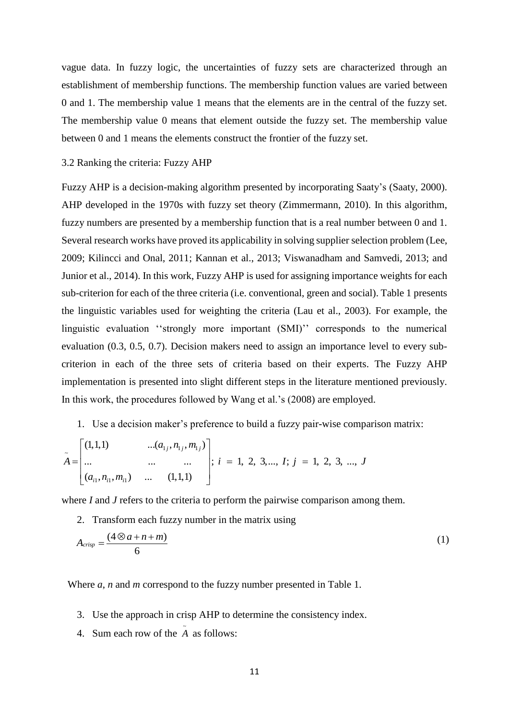vague data. In fuzzy logic, the uncertainties of fuzzy sets are characterized through an establishment of membership functions. The membership function values are varied between 0 and 1. The membership value 1 means that the elements are in the central of the fuzzy set. The membership value 0 means that element outside the fuzzy set. The membership value between 0 and 1 means the elements construct the frontier of the fuzzy set.

3.2 Ranking the criteria: Fuzzy AHP

Fuzzy AHP is a decision-making algorithm presented by incorporating Saaty's (Saaty, 2000). AHP developed in the 1970s with fuzzy set theory (Zimmermann, 2010). In this algorithm, fuzzy numbers are presented by a membership function that is a real number between 0 and 1. Several research works have proved its applicability in solving supplier selection problem (Lee, 2009; Kilincci and Onal, 2011; Kannan et al., 2013; Viswanadham and Samvedi, 2013; and Junior et al., 2014). In this work, Fuzzy AHP is used for assigning importance weights for each sub-criterion for each of the three criteria (i.e. conventional, green and social). Table 1 presents the linguistic variables used for weighting the criteria (Lau et al., 2003). For example, the linguistic evaluation ''strongly more important (SMI)'' corresponds to the numerical evaluation (0.3, 0.5, 0.7). Decision makers need to assign an importance level to every subcriterion in each of the three sets of criteria based on their experts. The Fuzzy AHP implementation is presented into slight different steps in the literature mentioned previously. In this work, the procedures followed by Wang et al.'s (2008) are employed.

1. Use a decision maker's preference to build a fuzzy pair-wise comparison matrix:

$$
\tilde{A} = \begin{bmatrix} (1,1,1) & \dots (a_{1j}, n_{1j}, m_{1j}) \\ \dots & \dots & \dots \\ (a_{i1}, n_{i1}, m_{i1}) & \dots & (1,1,1) \end{bmatrix}; i = 1, 2, 3, \dots, I; j = 1, 2, 3, \dots, J
$$

where *I* and *J* refers to the criteria to perform the pairwise comparison among them.

2. Transform each fuzzy number in the matrix using

$$
A_{\text{crisp}} = \frac{(4 \otimes a + n + m)}{6} \tag{1}
$$

Where *a*, *n* and *m* correspond to the fuzzy number presented in Table 1.

- 3. Use the approach in crisp AHP to determine the consistency index.
- 4. Sum each row of the  $\tilde{A}$  as follows: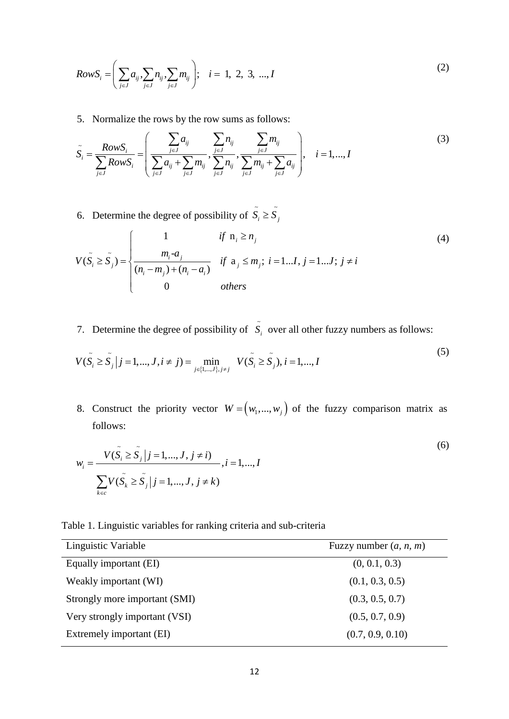$$
RowS_i = \left(\sum_{j \in J} a_{ij}, \sum_{j \in J} n_{ij}, \sum_{j \in J} m_{ij}\right); \quad i = 1, 2, 3, ..., I
$$
 (2)

5. Normalize the rows by the row sums as follows:

$$
\tilde{S}_{i} = \frac{RowS_{i}}{\sum_{j\in J}RowS_{i}} = \left(\frac{\sum_{j\in J}a_{ij}}{\sum_{j\in J}a_{ij} + \sum_{j\in J}m_{ij}}, \frac{\sum_{j\in J}n_{ij}}{\sum_{j\in J}n_{ij}}, \frac{\sum_{j\in J}m_{ij}}{\sum_{j\in J}m_{ij} + \sum_{j\in J}a_{ij}}\right), \quad i = 1,...,I
$$
\n(3)

6. Determine the degree of possibility of  $\tilde{S}_i \ge \tilde{S}_j$ 

$$
V(\tilde{S}_i \ge \tilde{S}_j) = \begin{cases} 1 & \text{if } n_i \ge n_j \\ \frac{m_i - a_j}{(n_i - m_j) + (n_i - a_i)} & \text{if } a_j \le m_j; i = 1...I, j = 1...J; j \ne i \\ 0 & \text{others} \end{cases}
$$
(4)

7. Determine the degree of possibility of  $\tilde{S}$  $S_i$  over all other fuzzy numbers as follows:

$$
V(\tilde{S}_i \ge \tilde{S}_j | j = 1, ..., J, i \ne j) = \min_{j \in \{1, ..., J\}, j \ne j} V(\tilde{S}_i \ge \tilde{S}_j), i = 1, ..., I
$$
\n(5)

8. Construct the priority vector  $W = (w_1, ..., w_j)$  of the fuzzy comparison matrix as follows:

$$
w_i = \frac{V(\tilde{S}_i \ge \tilde{S}_j | j = 1, ..., J, j \ne i)}{\sum_{k \in C} V(\tilde{S}_k \ge \tilde{S}_j | j = 1, ..., J, j \ne k)}, i = 1, ..., I
$$
\n(6)

#### Table 1. Linguistic variables for ranking criteria and sub-criteria

| Linguistic Variable           | Fuzzy number $(a, n, m)$ |
|-------------------------------|--------------------------|
| Equally important (EI)        | (0, 0.1, 0.3)            |
| Weakly important (WI)         | (0.1, 0.3, 0.5)          |
| Strongly more important (SMI) | (0.3, 0.5, 0.7)          |
| Very strongly important (VSI) | (0.5, 0.7, 0.9)          |
| Extremely important (EI)      | (0.7, 0.9, 0.10)         |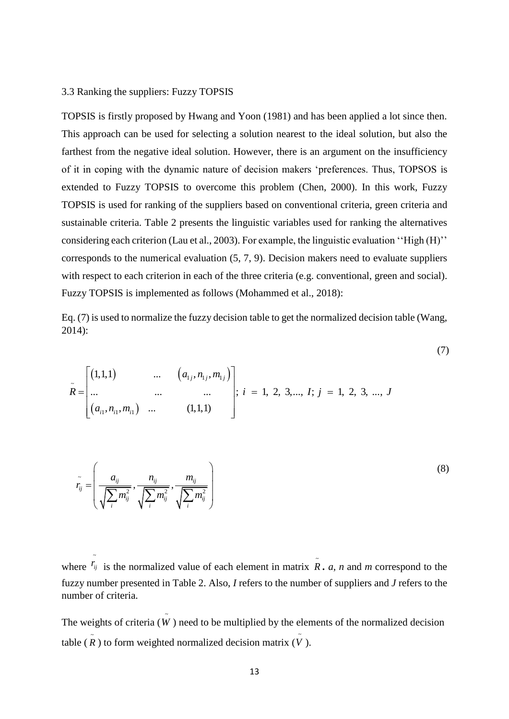#### 3.3 Ranking the suppliers: Fuzzy TOPSIS

~

TOPSIS is firstly proposed by Hwang and Yoon (1981) and has been applied a lot since then. This approach can be used for selecting a solution nearest to the ideal solution, but also the farthest from the negative ideal solution. However, there is an argument on the insufficiency of it in coping with the dynamic nature of decision makers 'preferences. Thus, TOPSOS is extended to Fuzzy TOPSIS to overcome this problem (Chen, 2000). In this work, Fuzzy TOPSIS is used for ranking of the suppliers based on conventional criteria, green criteria and sustainable criteria. Table 2 presents the linguistic variables used for ranking the alternatives considering each criterion (Lau et al., 2003). For example, the linguistic evaluation ''High (H)'' corresponds to the numerical evaluation (5, 7, 9). Decision makers need to evaluate suppliers with respect to each criterion in each of the three criteria (e.g. conventional, green and social). Fuzzy TOPSIS is implemented as follows (Mohammed et al., 2018):

Eq. (7) is used to normalize the fuzzy decision table to get the normalized decision table (Wang, 2014):

(7)

$$
\tilde{R} = \begin{bmatrix} (1,1,1) & \dots & (a_{1j}, n_{1j}, m_{1j}) \\ \dots & \dots & \dots & \dots \\ (a_{i1}, n_{i1}, m_{i1}) & \dots & (1,1,1) \end{bmatrix}; i = 1, 2, 3, \dots, I; j = 1, 2, 3, \dots, J
$$

$$
\tilde{r}_{ij} = \left(\frac{a_{ij}}{\sqrt{\sum_i m_{ij}^2}}, \frac{n_{ij}}{\sqrt{\sum_i m_{ij}^2}}, \frac{m_{ij}}{\sqrt{\sum_i m_{ij}^2}}\right)
$$
\n(8)

where  $r_{ij}$  is the normalized value of each element in matrix  $\tilde{R}$ . *a*, *n* and *m* correspond to the fuzzy number presented in Table 2. Also, *I* refers to the number of suppliers and *J* refers to the number of criteria.

The weights of criteria  $(W)$  need to be multiplied by the elements of the normalized decision table  $(\tilde{R})$  to form weighted normalized decision matrix  $(\tilde{V})$ .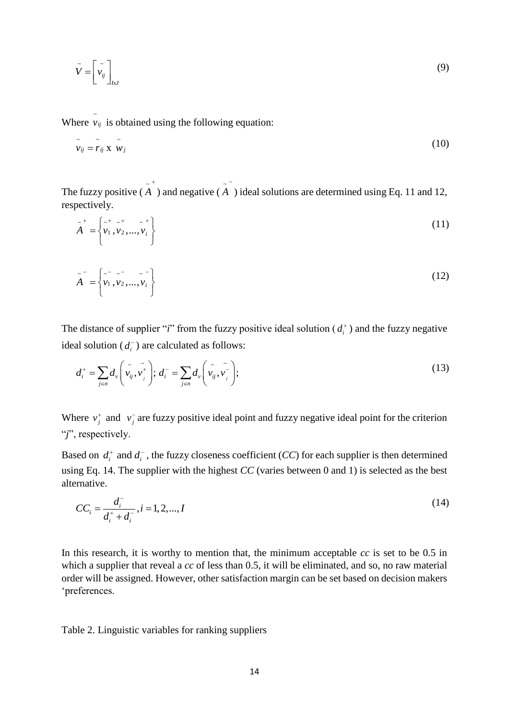$$
\tilde{V} = \left[ \tilde{v}_{ij} \right]_{I \times J} \tag{9}
$$

Where  $\hat{v}_{ij}$  is obtained using the following equation:

$$
\tilde{v}_{ij} = \tilde{r}_{ij} \times \tilde{w}_j \tag{10}
$$

The fuzzy positive ( $\tilde{A}$  $^{+}$ ) and negative ( $\tilde{A}$  $\overline{a}$ ) ideal solutions are determined using Eq. 11 and 12, respectively.

$$
\tilde{A}^+ = \begin{Bmatrix} z^+ & z^+ & z^+ \\ v_1, v_2, ..., v_i \end{Bmatrix}
$$
 (11)

$$
\tilde{A} = \begin{Bmatrix} z & z & z \\ v_1, v_2, ..., v_i \end{Bmatrix}
$$
 (12)

The distance of supplier "*i*" from the fuzzy positive ideal solution  $(d_i^+)$  and the fuzzy negative ideal solution  $(d_i^-)$  are calculated as follows:

$$
d_i^+ = \sum_{j \in n} d_v \left( \tilde{v_{ij}}, \tilde{v_j^+} \right); d_i^- = \sum_{j \in n} d_v \left( \tilde{v_{ij}}, \tilde{v_j^-} \right);
$$
 (13)

Where  $v_j^+$  and  $v_j^-$  are fuzzy positive ideal point and fuzzy negative ideal point for the criterion "*j*", respectively.

Based on  $d_i^+$  and  $d_i^-$ , the fuzzy closeness coefficient (*CC*) for each supplier is then determined using Eq. 14. The supplier with the highest *CC* (varies between 0 and 1) is selected as the best alternative.

$$
CC_i = \frac{d_i^-}{d_i^+ + d_i^-}, i = 1, 2, ..., I
$$
\n(14)

In this research, it is worthy to mention that, the minimum acceptable *cc* is set to be 0.5 in which a supplier that reveal a *cc* of less than 0.5, it will be eliminated, and so, no raw material order will be assigned. However, other satisfaction margin can be set based on decision makers 'preferences.

Table 2. Linguistic variables for ranking suppliers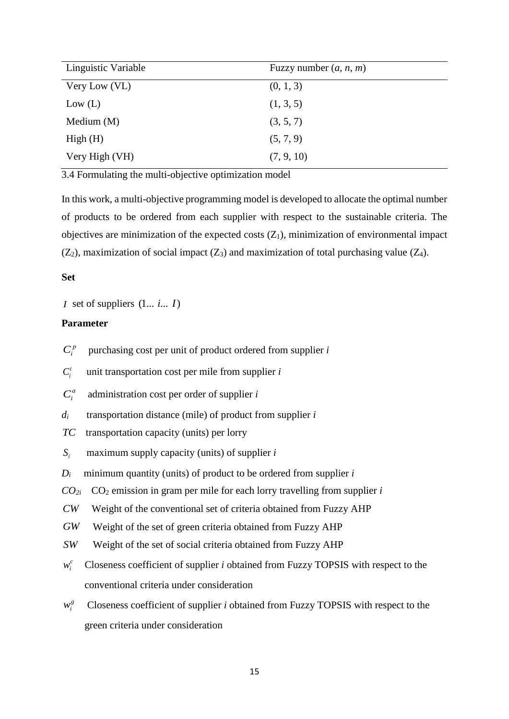| Linguistic Variable | Fuzzy number $(a, n, m)$ |
|---------------------|--------------------------|
| Very Low (VL)       | (0, 1, 3)                |
| Low (L)             | (1, 3, 5)                |
| Medium $(M)$        | (3, 5, 7)                |
| High(H)             | (5, 7, 9)                |
| Very High (VH)      | (7, 9, 10)               |
|                     |                          |

3.4 Formulating the multi-objective optimization model

In this work, a multi-objective programming model is developed to allocate the optimal number of products to be ordered from each supplier with respect to the sustainable criteria. The objectives are minimization of the expected costs  $(Z_1)$ , minimization of environmental impact  $(Z_2)$ , maximization of social impact  $(Z_3)$  and maximization of total purchasing value  $(Z_4)$ .

#### **Set**

*I* set of suppliers  $(1... i... I)$ 

#### **Parameter**

- $C_i^p$ purchasing cost per unit of product ordered from supplier *i*
- $C_i^t$ unit transportation cost per mile from supplier *i*

 $C_i^a$ administration cost per order of supplier *i* 

- *di* transportation distance (mile) of product from supplier *i*
- *TC* transportation capacity (units) per lorry
- *<sup>i</sup> S* maximum supply capacity (units) of supplier *i*
- $D_i$  minimum quantity (units) of product to be ordered from supplier *i*
- $CO<sub>2i</sub>$  CO<sub>2</sub> emission in gram per mile for each lorry travelling from supplier *i*
- *CW* Weight of the conventional set of criteria obtained from Fuzzy AHP
- *GW* Weight of the set of green criteria obtained from Fuzzy AHP
- *SW* Weight of the set of social criteria obtained from Fuzzy AHP
- $w_i^c$  Closeness coefficient of supplier *i* obtained from Fuzzy TOPSIS with respect to the conventional criteria under consideration
- $w_i^g$  Closeness coefficient of supplier *i* obtained from Fuzzy TOPSIS with respect to the green criteria under consideration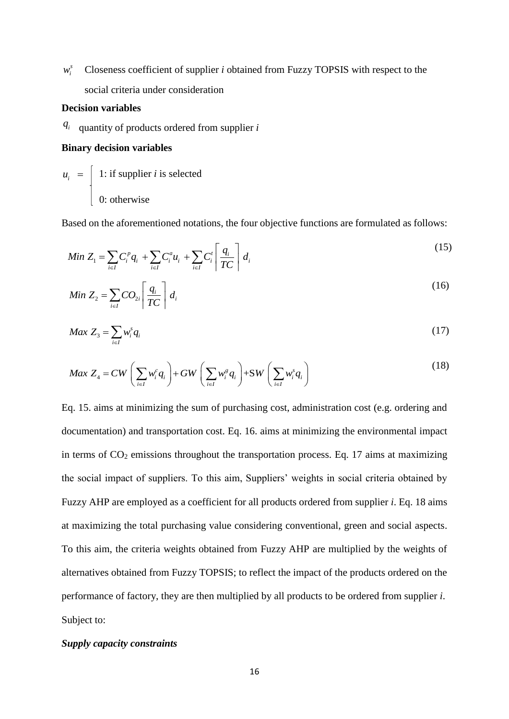$w_i^s$  Closeness coefficient of supplier *i* obtained from Fuzzy TOPSIS with respect to the social criteria under consideration

#### **Decision variables**

 $q_i$  quantity of products ordered from supplier *i* 

#### **Binary decision variables**

 $u_i = \begin{bmatrix} 1: \text{if supplier } i \text{ is selected} \end{bmatrix}$ 0: otherwise

Based on the aforementioned notations, the four objective functions are formulated as follows:

$$
Min Z_{1} = \sum_{i \in I} C_{i}^{p} q_{i} + \sum_{i \in I} C_{i}^{a} u_{i} + \sum_{i \in I} C_{i}^{t} \left[ \frac{q_{i}}{TC} \right] d_{i}
$$
\n(15)

$$
Min Z_2 = \sum_{i \in I} CO_{2i} \left[ \frac{q_i}{TC} \right] d_i \tag{16}
$$

$$
Max Z_3 = \sum_{i \in I} w_i^s q_i \tag{17}
$$

$$
Max Z_4 = CW \left( \sum_{i \in I} w_i^c q_i \right) + GW \left( \sum_{i \in I} w_i^s q_i \right) + SW \left( \sum_{i \in I} w_i^s q_i \right)
$$
\n
$$
(18)
$$

Eq. 15. aims at minimizing the sum of purchasing cost, administration cost (e.g. ordering and documentation) and transportation cost. Eq. 16. aims at minimizing the environmental impact in terms of  $CO<sub>2</sub>$  emissions throughout the transportation process. Eq. 17 aims at maximizing the social impact of suppliers. To this aim, Suppliers' weights in social criteria obtained by Fuzzy AHP are employed as a coefficient for all products ordered from supplier *i*. Eq. 18 aims at maximizing the total purchasing value considering conventional, green and social aspects. To this aim, the criteria weights obtained from Fuzzy AHP are multiplied by the weights of alternatives obtained from Fuzzy TOPSIS; to reflect the impact of the products ordered on the performance of factory, they are then multiplied by all products to be ordered from supplier *i*. Subject to:

#### *Supply capacity constraints*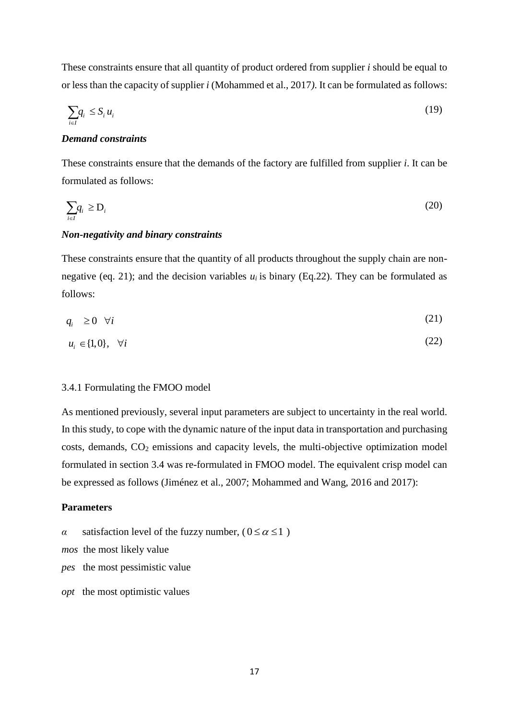These constraints ensure that all quantity of product ordered from supplier *i* should be equal to or less than the capacity of supplier *i* (Mohammed et al., 2017*)*. It can be formulated as follows:

$$
\sum_{i \in I} q_i \leq S_i u_i \tag{19}
$$

#### *Demand constraints*

These constraints ensure that the demands of the factory are fulfilled from supplier *i*. It can be formulated as follows:

$$
\sum_{i \in I} q_i \ge D_i \tag{20}
$$

#### *Non-negativity and binary constraints*

These constraints ensure that the quantity of all products throughout the supply chain are nonnegative (eq. 21); and the decision variables  $u_i$  is binary (Eq. 22). They can be formulated as follows:

$$
q_i \geq 0 \quad \forall i \tag{21}
$$

$$
u_i \in \{1, 0\}, \quad \forall i \tag{22}
$$

#### 3.4.1 Formulating the FMOO model

As mentioned previously, several input parameters are subject to uncertainty in the real world. In this study, to cope with the dynamic nature of the input data in transportation and purchasing  $costs$ , demands,  $CO<sub>2</sub>$  emissions and capacity levels, the multi-objective optimization model formulated in section 3.4 was re-formulated in FMOO model. The equivalent crisp model can be expressed as follows (Jiménez et al., 2007; Mohammed and Wang, 2016 and 2017):

#### **Parameters**

- *α* satisfaction level of the fuzzy number,  $(0 \le \alpha \le 1)$
- *mos* the most likely value
- *pes* the most pessimistic value
- *opt* the most optimistic values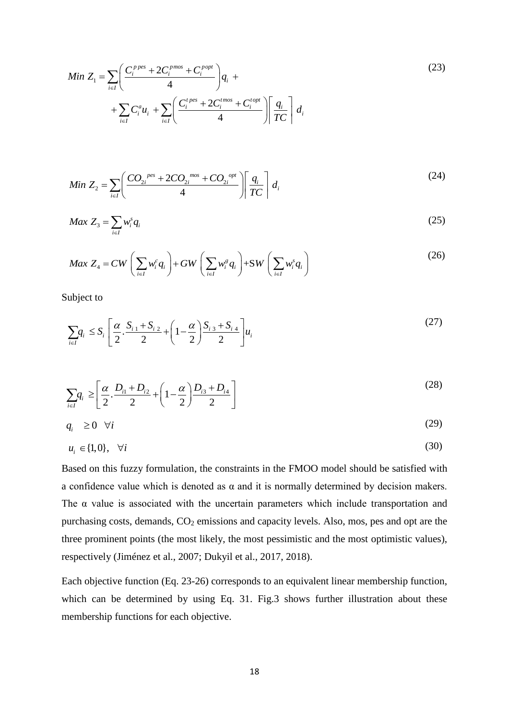$$
Min Z_{1} = \sum_{i \in I} \left( \frac{C_{i}^{p_{\text{pes}}} + 2C_{i}^{p_{\text{mos}}} + C_{i}^{p_{\text{opt}}}}{4} \right) q_{i} + \\ + \sum_{i \in I} C_{i}^{a} u_{i} + \sum_{i \in I} \left( \frac{C_{i}^{t_{\text{pes}}} + 2C_{i}^{t_{\text{mos}}} + C_{i}^{t_{\text{opt}}}}{4} \right) \left[ \frac{q_{i}}{TC} \right] d_{i}
$$
\n(23)

$$
Min Z_2 = \sum_{i \in I} \left( \frac{CO_{2i}}{4} \right)^{pes} + 2CO_{2i}^{mos} + CO_{2i}^{opt} \left| \frac{q_i}{TC} \right| d_i
$$
 (24)

$$
Max Z_3 = \sum_{i \in I} w_i^s q_i \tag{25}
$$

$$
Max Z_4 = CW \left( \sum_{i \in I} w_i^c q_i \right) + GW \left( \sum_{i \in I} w_i^s q_i \right) + SW \left( \sum_{i \in I} w_i^s q_i \right)
$$
 (26)

Subject to

$$
\sum_{i \in I} q_i \le S_i \left[ \frac{\alpha}{2} \cdot \frac{S_{i,1} + S_{i,2}}{2} + \left( 1 - \frac{\alpha}{2} \right) \frac{S_{i,3} + S_{i,4}}{2} \right] u_i \tag{27}
$$

$$
\sum_{i \in I} q_i \ge \left[ \frac{\alpha}{2} \cdot \frac{D_{i1} + D_{i2}}{2} + \left( 1 - \frac{\alpha}{2} \right) \frac{D_{i3} + D_{i4}}{2} \right]
$$
\n(28)

$$
q_i \geq 0 \quad \forall i \tag{29}
$$

$$
u_i \in \{1, 0\}, \quad \forall i \tag{30}
$$

Based on this fuzzy formulation, the constraints in the FMOO model should be satisfied with a confidence value which is denoted as  $\alpha$  and it is normally determined by decision makers. The  $\alpha$  value is associated with the uncertain parameters which include transportation and purchasing costs, demands,  $CO<sub>2</sub>$  emissions and capacity levels. Also, mos, pes and opt are the three prominent points (the most likely, the most pessimistic and the most optimistic values), respectively (Jiménez et al., 2007; Dukyil et al., 2017, 2018).

Each objective function (Eq. 23-26) corresponds to an equivalent linear membership function, which can be determined by using Eq. 31. Fig.3 shows further illustration about these membership functions for each objective.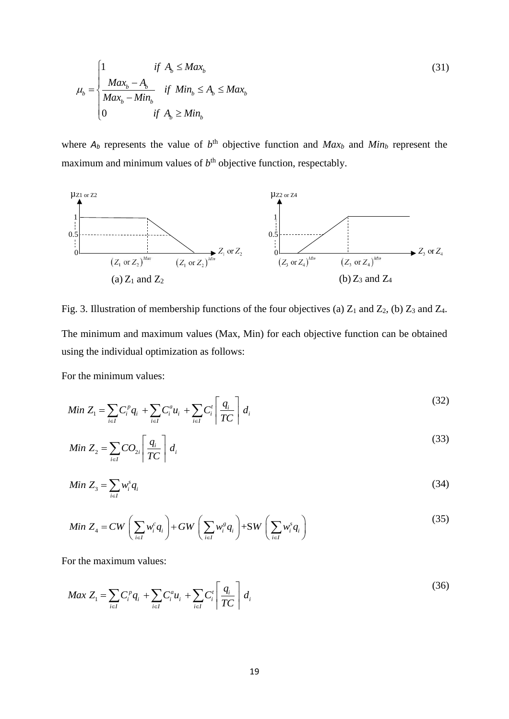$$
\mu_b = \begin{cases}\n1 & \text{if } A_b \leq Max_b \\
\frac{Max_b - A_b}{Max_b - Min_b} & \text{if } Min_b \leq A_b \leq Max_b \\
0 & \text{if } A_b \geq Min_b\n\end{cases}
$$
\n(31)

where  $A_b$  represents the value of  $b^{\text{th}}$  objective function and  $Max_b$  and  $Min_b$  represent the maximum and minimum values of  $b<sup>th</sup>$  objective function, respectably.



Fig. 3. Illustration of membership functions of the four objectives (a)  $Z_1$  and  $Z_2$ , (b)  $Z_3$  and  $Z_4$ . The minimum and maximum values (Max, Min) for each objective function can be obtained using the individual optimization as follows:

For the minimum values:

$$
Min Z_{1} = \sum_{i \in I} C_{i}^{p} q_{i} + \sum_{i \in I} C_{i}^{a} u_{i} + \sum_{i \in I} C_{i}^{t} \left[ \frac{q_{i}}{TC} \right] d_{i}
$$
\n(32)

$$
Min Z_2 = \sum_{i \in I} CO_{2i} \left[ \frac{q_i}{TC} \right] d_i \tag{33}
$$

$$
Min Z_3 = \sum_{i \in I} w_i^s q_i \tag{34}
$$

$$
Min Z_4 = CW \left(\sum_{i \in I} w_i^c q_i\right) + GW \left(\sum_{i \in I} w_i^s q_i\right) + SW \left(\sum_{i \in I} w_i^s q_i\right)
$$
\n
$$
(35)
$$

For the maximum values:

$$
Max Z_{1} = \sum_{i \in I} C_{i}^{p} q_{i} + \sum_{i \in I} C_{i}^{a} u_{i} + \sum_{i \in I} C_{i}^{t} \left[ \frac{q_{i}}{TC} \right] d_{i}
$$
(36)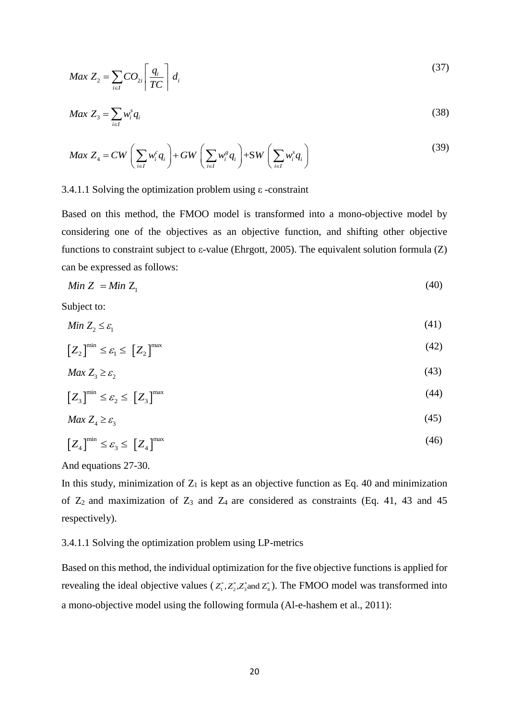$$
Max Z_2 = \sum_{i \in I} CO_{2i} \left[ \frac{q_i}{TC} \right] d_i \tag{37}
$$

$$
Max Z_3 = \sum_{i \in I} w_i^s q_i \tag{38}
$$

$$
Max Z_4 = CW \left( \sum_{i \in I} w_i^c q_i \right) + GW \left( \sum_{i \in I} w_i^s q_i \right) + SW \left( \sum_{i \in I} w_i^s q_i \right)
$$
\n
$$
(39)
$$

#### 3.4.1.1 Solving the optimization problem using ε -constraint

Based on this method, the FMOO model is transformed into a mono-objective model by considering one of the objectives as an objective function, and shifting other objective functions to constraint subject to ε-value (Ehrgott, 2005). The equivalent solution formula (Z) can be expressed as follows:

$$
Min Z = Min Z_1 \tag{40}
$$

Subject to:

$$
Min Z_2 \le \varepsilon_1 \tag{41}
$$

$$
\left[Z_2\right]^{min} \leq \varepsilon_1 \leq \left[Z_2\right]^{max} \tag{42}
$$

$$
Max\ Z_3 \ge \varepsilon_2 \tag{43}
$$

$$
\left[Z_3\right]^{\min} \le \varepsilon_2 \le \left[Z_3\right]^{\max} \tag{44}
$$

$$
Max Z_4 \ge \varepsilon_3 \tag{45}
$$

$$
\left[Z_4\right]^{\min} \leq \varepsilon_3 \leq \left[Z_4\right]^{\max} \tag{46}
$$

And equations 27-30.

In this study, minimization of  $Z_1$  is kept as an objective function as Eq. 40 and minimization of  $Z_2$  and maximization of  $Z_3$  and  $Z_4$  are considered as constraints (Eq. 41, 43 and 45 respectively).

#### 3.4.1.1 Solving the optimization problem using LP-metrics

Based on this method, the individual optimization for the five objective functions is applied for revealing the ideal objective values  $(z_1^*, z_2^*, z_3^*$  and  $z_4^*$ ). The FMOO model was transformed into a mono-objective model using the following formula (Al-e-hashem et al., 2011):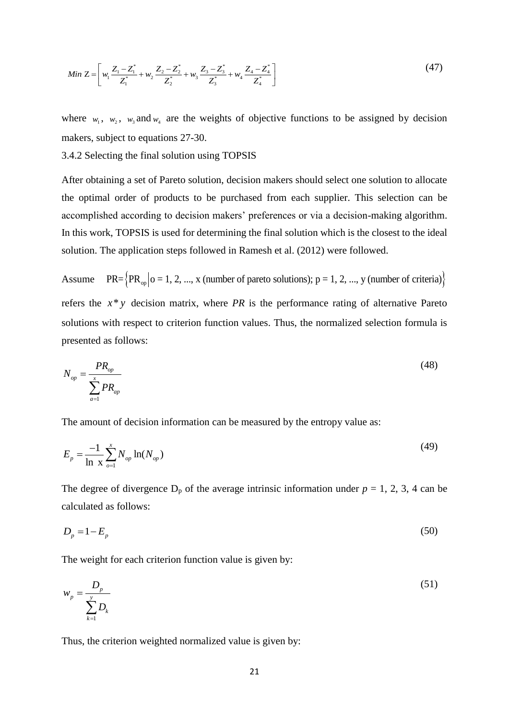$$
Min Z = \left[ w_1 \frac{Z_1 - Z_1^*}{Z_1^*} + w_2 \frac{Z_2 - Z_2^*}{Z_2^*} + w_3 \frac{Z_3 - Z_3^*}{Z_3^*} + w_4 \frac{Z_4 - Z_4^*}{Z_4^*} \right]
$$
\n
$$
(47)
$$

where  $w_1$ ,  $w_2$ ,  $w_3$  and  $w_4$  are the weights of objective functions to be assigned by decision makers, subject to equations 27-30.

#### 3.4.2 Selecting the final solution using TOPSIS

After obtaining a set of Pareto solution, decision makers should select one solution to allocate the optimal order of products to be purchased from each supplier. This selection can be accomplished according to decision makers' preferences or via a decision-making algorithm. In this work, TOPSIS is used for determining the final solution which is the closest to the ideal solution. The application steps followed in Ramesh et al. (2012) were followed.

Assume PR= ${PR<sub>op</sub> | o = 1, 2, ..., x$  (number of pareto solutions);  $p = 1, 2, ..., y$  (number of criteria) refers the  $x^*y$  decision matrix, where *PR* is the performance rating of alternative Pareto solutions with respect to criterion function values. Thus, the normalized selection formula is presented as follows:

$$
N_{op} = \frac{PR_{op}}{\sum_{a=1}^{x} PR_{ap}}
$$
 (48)

The amount of decision information can be measured by the entropy value as:

$$
E_p = \frac{-1}{\ln X} \sum_{o=1}^{X} N_{op} \ln(N_{op})
$$
 (49)

The degree of divergence  $D_p$  of the average intrinsic information under  $p = 1, 2, 3, 4$  can be calculated as follows:

$$
D_p = 1 - E_p \tag{50}
$$

The weight for each criterion function value is given by:

$$
w_p = \frac{D_p}{\sum_{k=1}^{y} D_k} \tag{51}
$$

Thus, the criterion weighted normalized value is given by: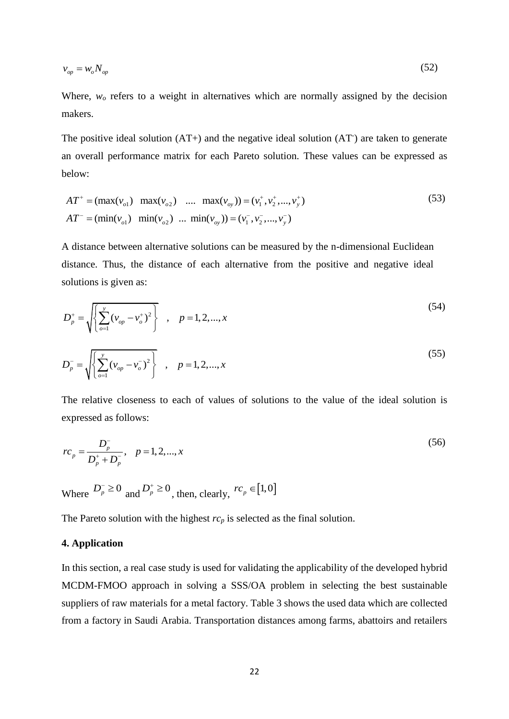$$
v_{op} = w_o N_{op} \tag{52}
$$

Where,  $w<sub>o</sub>$  refers to a weight in alternatives which are normally assigned by the decision makers.

The positive ideal solution (AT+) and the negative ideal solution (AT) are taken to generate an overall performance matrix for each Pareto solution. These values can be expressed as below:

$$
AT^{+} = (\max(v_{o1}) \max(v_{o2}) \dots \max(v_{oy})) = (v_1^{+}, v_2^{+}, ..., v_y^{+})
$$
  
\n
$$
AT^{-} = (\min(v_{o1}) \min(v_{o2}) \dots \min(v_{oy})) = (v_1^{-}, v_2^{-}, ..., v_y^{-})
$$
\n(53)

A distance between alternative solutions can be measured by the n-dimensional Euclidean distance. Thus, the distance of each alternative from the positive and negative ideal solutions is given as:

$$
D_p^+ = \sqrt{\left\{ \sum_{o=1}^y (v_{op} - v_o^+)^2 \right\}} \quad , \quad p = 1, 2, ..., x
$$
\n
$$
D_p^- = \sqrt{\left\{ \sum_{o=1}^y (v_{op} - v_o^-)^2 \right\}} \quad , \quad p = 1, 2, ..., x
$$
\n(55)

The relative closeness to each of values of solutions to the value of the ideal solution is expressed as follows:

$$
rc_p = \frac{D_p^-}{D_p^+ + D_p^-}, \quad p = 1, 2, ..., x
$$
\n(56)

Where  $D_p^- \ge 0$  and  $D_p^+ \ge 0$ , then, clearly,  $rc_p \in [1,0]$ 

The Pareto solution with the highest *rcp* is selected as the final solution.

#### **4. Application**

In this section, a real case study is used for validating the applicability of the developed hybrid MCDM-FMOO approach in solving a SSS/OA problem in selecting the best sustainable suppliers of raw materials for a metal factory. Table 3 shows the used data which are collected from a factory in Saudi Arabia. Transportation distances among farms, abattoirs and retailers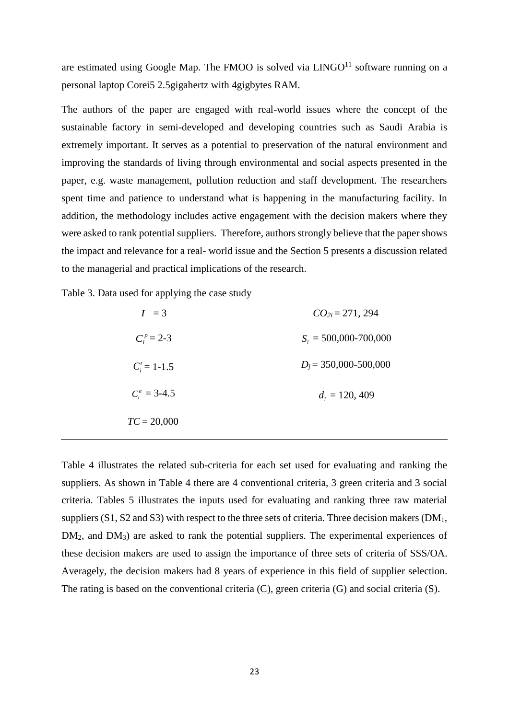are estimated using Google Map. The FMOO is solved via  $LINGO<sup>11</sup>$  software running on a personal laptop Corei5 2.5gigahertz with 4gigbytes RAM.

The authors of the paper are engaged with real-world issues where the concept of the sustainable factory in semi-developed and developing countries such as Saudi Arabia is extremely important. It serves as a potential to preservation of the natural environment and improving the standards of living through environmental and social aspects presented in the paper, e.g. waste management, pollution reduction and staff development. The researchers spent time and patience to understand what is happening in the manufacturing facility. In addition, the methodology includes active engagement with the decision makers where they were asked to rank potential suppliers. Therefore, authors strongly believe that the paper shows the impact and relevance for a real- world issue and the Section 5 presents a discussion related to the managerial and practical implications of the research.

| $I = 3$         | $CO_{2i} = 271, 294$      |
|-----------------|---------------------------|
| $C_i^p = 2-3$   | $S_i = 500,000-700,000$   |
| $C_i^t = 1-1.5$ | $D_i = 350,000 - 500,000$ |
| $C_i^a = 3-4.5$ | $d_i = 120, 409$          |
| $TC = 20,000$   |                           |

Table 3. Data used for applying the case study

Table 4 illustrates the related sub-criteria for each set used for evaluating and ranking the suppliers. As shown in Table 4 there are 4 conventional criteria, 3 green criteria and 3 social criteria. Tables 5 illustrates the inputs used for evaluating and ranking three raw material suppliers  $(S1, S2 \text{ and } S3)$  with respect to the three sets of criteria. Three decision makers  $(DM_1,$ DM<sub>2</sub>, and DM<sub>3</sub>) are asked to rank the potential suppliers. The experimental experiences of these decision makers are used to assign the importance of three sets of criteria of SSS/OA. Averagely, the decision makers had 8 years of experience in this field of supplier selection. The rating is based on the conventional criteria (C), green criteria (G) and social criteria (S).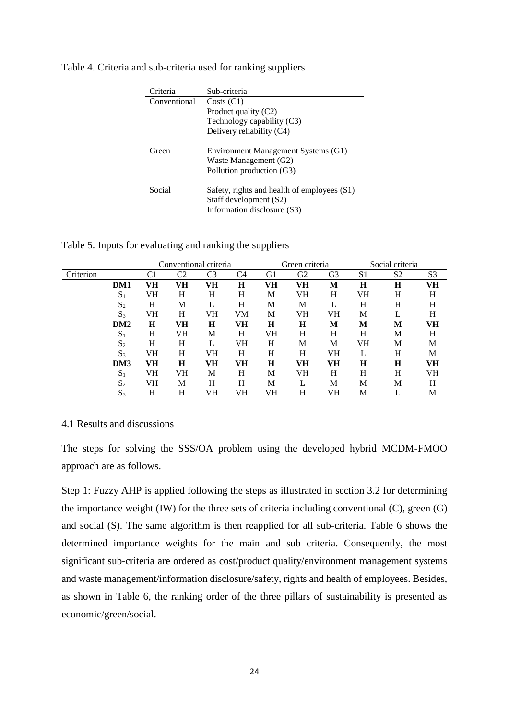| Criteria     | Sub-criteria                                  |
|--------------|-----------------------------------------------|
| Conventional | Costs (C1)                                    |
|              | Product quality (C2)                          |
|              | Technology capability (C3)                    |
|              | Delivery reliability (C4)                     |
| Green        | Environment Management Systems (G1)           |
|              | Waste Management (G2)                         |
|              | Pollution production (G3)                     |
| Social       | Safety, rights and health of employees $(S1)$ |
|              | Staff development (S2)                        |
|              | Information disclosure (S3)                   |

Table 4. Criteria and sub-criteria used for ranking suppliers

Table 5. Inputs for evaluating and ranking the suppliers

|           |                | Conventional criteria |    |    |    | Green criteria |    |    | Social criteria |                |                |
|-----------|----------------|-----------------------|----|----|----|----------------|----|----|-----------------|----------------|----------------|
| Criterion |                |                       | C2 | C3 | C4 | G1             | G2 | G3 | S1              | S <sub>2</sub> | S <sub>3</sub> |
|           | DM1            | VН                    | VН | VН | Н  | VН             | VН | M  | $\bf H$         | Н              | VH             |
|           | $S_1$          | VH                    | H  | H  | H  | M              | VH | H  | VH              | H              | H              |
|           | S <sub>2</sub> | Н                     | M  |    | Н  | M              | М  |    | H               | Н              | Н              |
|           | $S_3$          | VH                    | H  | VН | VM | М              | VH | VH | M               |                | H              |
|           | DM2            | н                     | VН | Н  | VН | Н              | H  | M  | М               | M              | VН             |
|           | $S_1$          | Н                     | VH | M  | H  | VH             | H  | H  | H               | M              | Н              |
|           | $S_2$          | Н                     | Н  |    | VH | H              | M  | M  | VH              | M              | М              |
|           | $S_3$          | VH                    | H  | VH | Н  | Н              | Н  | VH |                 | Н              | М              |
|           | DM3            | VН                    | H  | VН | VН | H              | VН | VН | H               | H              | VH             |
|           | $S_1$          | VH                    | VH | M  | H  | M              | VН | H  | Н               | H              | VH             |
|           | $S_2$          | VH                    | M  | Н  | H  | M              |    | M  | М               | M              | Н              |
|           | $S_3$          | Н                     | H  | VH | VН | VН             | H  | VH | М               |                | М              |

#### 4.1 Results and discussions

The steps for solving the SSS/OA problem using the developed hybrid MCDM-FMOO approach are as follows.

Step 1: Fuzzy AHP is applied following the steps as illustrated in section 3.2 for determining the importance weight (IW) for the three sets of criteria including conventional (C), green (G) and social (S). The same algorithm is then reapplied for all sub-criteria. Table 6 shows the determined importance weights for the main and sub criteria. Consequently, the most significant sub-criteria are ordered as cost/product quality/environment management systems and waste management/information disclosure/safety, rights and health of employees. Besides, as shown in Table 6, the ranking order of the three pillars of sustainability is presented as economic/green/social.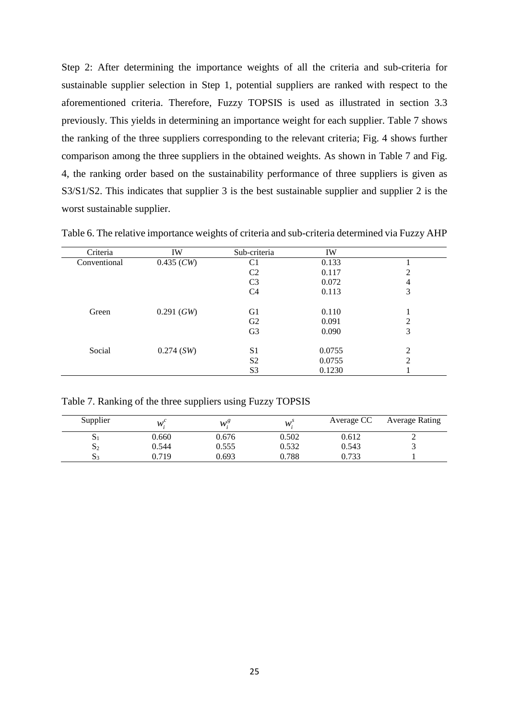Step 2: After determining the importance weights of all the criteria and sub-criteria for sustainable supplier selection in Step 1, potential suppliers are ranked with respect to the aforementioned criteria. Therefore, Fuzzy TOPSIS is used as illustrated in section 3.3 previously. This yields in determining an importance weight for each supplier. Table 7 shows the ranking of the three suppliers corresponding to the relevant criteria; Fig. 4 shows further comparison among the three suppliers in the obtained weights. As shown in Table 7 and Fig. 4, the ranking order based on the sustainability performance of three suppliers is given as S3/S1/S2. This indicates that supplier 3 is the best sustainable supplier and supplier 2 is the worst sustainable supplier.

| Criteria     | IW           | Sub-criteria   | IW     |        |
|--------------|--------------|----------------|--------|--------|
| Conventional | $0.435$ (CW) | C1             | 0.133  |        |
|              |              | C <sub>2</sub> | 0.117  | ∍<br>∠ |
|              |              | C <sub>3</sub> | 0.072  | 4      |
|              |              | C <sub>4</sub> | 0.113  | 3      |
| Green        | 0.291(GW)    | G <sub>1</sub> | 0.110  |        |
|              |              | G <sub>2</sub> | 0.091  | っ      |
|              |              | G <sub>3</sub> | 0.090  | 3      |
| Social       | $0.274$ (SW) | S <sub>1</sub> | 0.0755 | ∍      |
|              |              | S <sub>2</sub> | 0.0755 | ◠      |
|              |              | S <sub>3</sub> | 0.1230 |        |

Table 6. The relative importance weights of criteria and sub-criteria determined via Fuzzy AHP

Table 7. Ranking of the three suppliers using Fuzzy TOPSIS

| Supplier       | w.    | $W^5$ | W.    | Average CC | <b>Average Rating</b> |
|----------------|-------|-------|-------|------------|-----------------------|
| D.             | 0.660 | 0.676 | 0.502 | 0.612      | ∸                     |
| S <sub>2</sub> | 0.544 | 0.555 | 0.532 | 0.543      |                       |
| DЗ             | 0.719 | 0.693 | 0.788 | 0.733      |                       |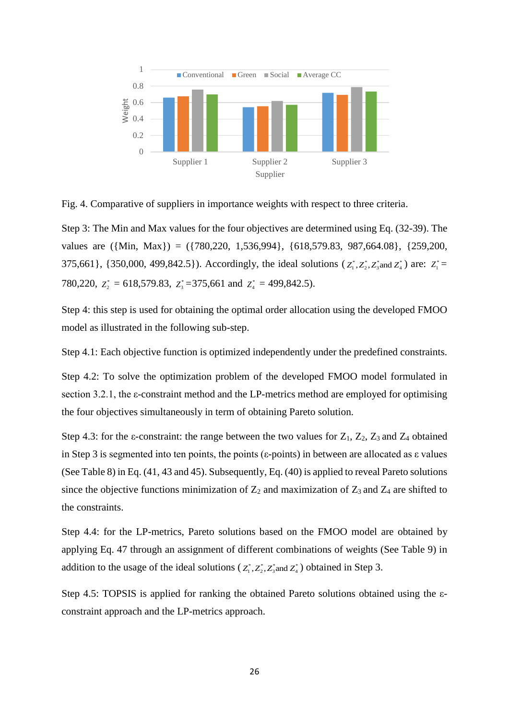

Fig. 4. Comparative of suppliers in importance weights with respect to three criteria.

Step 3: The Min and Max values for the four objectives are determined using Eq. (32-39). The values are ({Min, Max}) = ({780,220, 1,536,994}, {618,579.83, 987,664.08}, {259,200, 375,661},  $\{350,000, 499,842.5\}$ . Accordingly, the ideal solutions  $(z_1^*, z_2^*, z_3^*$  and  $z_4^*)$  are:  $z_1^* =$ 780,220,  $z_2^* = 618,579.83$ ,  $z_3^* = 375,661$  and  $z_4^* = 499,842.5$ ).

Step 4: this step is used for obtaining the optimal order allocation using the developed FMOO model as illustrated in the following sub-step.

Step 4.1: Each objective function is optimized independently under the predefined constraints.

Step 4.2: To solve the optimization problem of the developed FMOO model formulated in section 3.2.1, the ε-constraint method and the LP-metrics method are employed for optimising the four objectives simultaneously in term of obtaining Pareto solution.

Step 4.3: for the  $\varepsilon$ -constraint: the range between the two values for  $Z_1$ ,  $Z_2$ ,  $Z_3$  and  $Z_4$  obtained in Step 3 is segmented into ten points, the points (ε-points) in between are allocated as ε values (See Table 8) in Eq. (41, 43 and 45). Subsequently, Eq. (40) is applied to reveal Pareto solutions since the objective functions minimization of  $Z_2$  and maximization of  $Z_3$  and  $Z_4$  are shifted to the constraints.

Step 4.4: for the LP-metrics, Pareto solutions based on the FMOO model are obtained by applying Eq. 47 through an assignment of different combinations of weights (See Table 9) in addition to the usage of the ideal solutions  $(z_1^*, z_2^*, z_3^*$  and  $z_4^*$ ) obtained in Step 3.

Step 4.5: TOPSIS is applied for ranking the obtained Pareto solutions obtained using the εconstraint approach and the LP-metrics approach.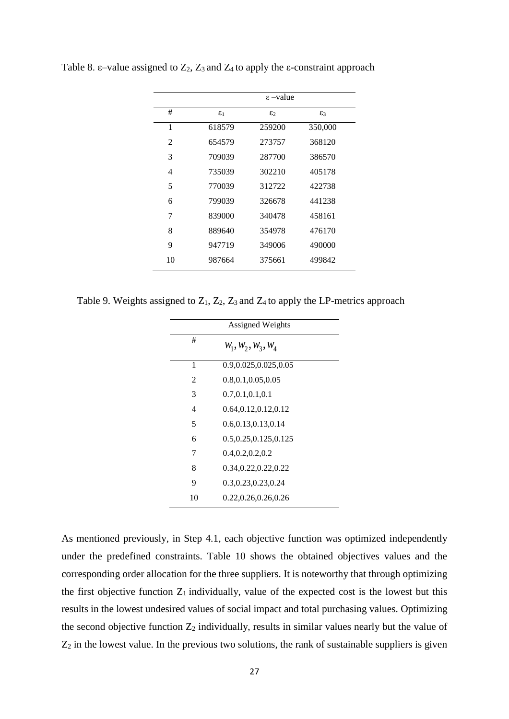|                |                 | $\varepsilon$ -value |              |
|----------------|-----------------|----------------------|--------------|
| #              | $\varepsilon_1$ | $\varepsilon_2$      | $\epsilon_3$ |
| 1              | 618579          | 259200               | 350,000      |
| $\overline{2}$ | 654579          | 273757               | 368120       |
| 3              | 709039          | 287700               | 386570       |
| 4              | 735039          | 302210               | 405178       |
| 5              | 770039          | 312722               | 422738       |
| 6              | 799039          | 326678               | 441238       |
| 7              | 839000          | 340478               | 458161       |
| 8              | 889640          | 354978               | 476170       |
| 9              | 947719          | 349006               | 490000       |
| 10             | 987664          | 375661               | 499842       |

Table 8.  $\varepsilon$ –value assigned to  $Z_2$ ,  $Z_3$  and  $Z_4$  to apply the  $\varepsilon$ -constraint approach

Table 9. Weights assigned to  $Z_1$ ,  $Z_2$ ,  $Z_3$  and  $Z_4$  to apply the LP-metrics approach

|    | Assigned Weights       |  |  |  |  |
|----|------------------------|--|--|--|--|
| #  | $W_1, W_2, W_3, W_4$   |  |  |  |  |
| 1  | 0.9,0.025,0.025,0.05   |  |  |  |  |
| 2  | 0.8,0.1,0.05,0.05      |  |  |  |  |
| 3  | 0.7, 0.1, 0.1, 0.1     |  |  |  |  |
| 4  | 0.64, 0.12, 0.12, 0.12 |  |  |  |  |
| 5  | 0.6, 0.13, 0.13, 0.14  |  |  |  |  |
| 6  | 0.5,0.25,0.125,0.125   |  |  |  |  |
| 7  | 0.4,0.2,0.2,0.2        |  |  |  |  |
| 8  | 0.34, 0.22, 0.22, 0.22 |  |  |  |  |
| 9  | 0.3,0.23,0.23,0.24     |  |  |  |  |
| 10 | 0.22,0.26,0.26,0.26    |  |  |  |  |

As mentioned previously, in Step 4.1, each objective function was optimized independently under the predefined constraints. Table 10 shows the obtained objectives values and the corresponding order allocation for the three suppliers. It is noteworthy that through optimizing the first objective function  $Z_1$  individually, value of the expected cost is the lowest but this results in the lowest undesired values of social impact and total purchasing values. Optimizing the second objective function  $Z_2$  individually, results in similar values nearly but the value of  $Z_2$  in the lowest value. In the previous two solutions, the rank of sustainable suppliers is given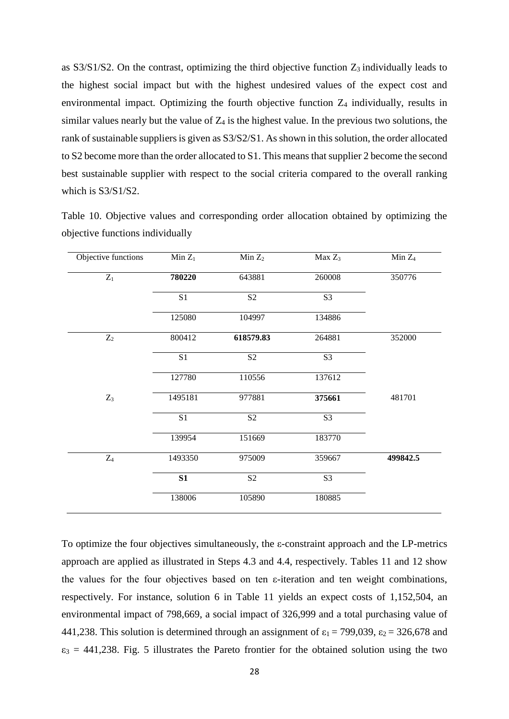as  $S3/S1/S2$ . On the contrast, optimizing the third objective function  $Z_3$  individually leads to the highest social impact but with the highest undesired values of the expect cost and environmental impact. Optimizing the fourth objective function  $Z_4$  individually, results in similar values nearly but the value of  $Z_4$  is the highest value. In the previous two solutions, the rank of sustainable suppliers is given as S3/S2/S1. As shown in this solution, the order allocated to S2 become more than the order allocated to S1. This means that supplier 2 become the second best sustainable supplier with respect to the social criteria compared to the overall ranking which is S3/S1/S2.

| Objective functions | $Min Z_1$      | $Min Z_2$      | $Max Z_3$      | $Min Z_4$ |
|---------------------|----------------|----------------|----------------|-----------|
| $\mathbf{Z}_1$      | 780220         | 643881         | 260008         | 350776    |
|                     | S1             | S2             | S <sub>3</sub> |           |
|                     | 125080         | 104997         | 134886         |           |
| $Z_2$               | 800412         | 618579.83      | 264881         | 352000    |
|                     | S1             | S <sub>2</sub> | S <sub>3</sub> |           |
|                     | 127780         | 110556         | 137612         |           |
| $Z_3$               | 1495181        | 977881         | 375661         | 481701    |
|                     | S <sub>1</sub> | S <sub>2</sub> | S <sub>3</sub> |           |
|                     | 139954         | 151669         | 183770         |           |
| $Z_4$               | 1493350        | 975009         | 359667         | 499842.5  |
|                     | S1             | S2             | S3             |           |
|                     | 138006         | 105890         | 180885         |           |

Table 10. Objective values and corresponding order allocation obtained by optimizing the objective functions individually

To optimize the four objectives simultaneously, the ε-constraint approach and the LP-metrics approach are applied as illustrated in Steps 4.3 and 4.4, respectively. Tables 11 and 12 show the values for the four objectives based on ten ε-iteration and ten weight combinations, respectively. For instance, solution 6 in Table 11 yields an expect costs of 1,152,504, an environmental impact of 798,669, a social impact of 326,999 and a total purchasing value of 441,238. This solution is determined through an assignment of  $\varepsilon_1$  = 799,039,  $\varepsilon_2$  = 326,678 and  $\varepsilon_3$  = 441,238. Fig. 5 illustrates the Pareto frontier for the obtained solution using the two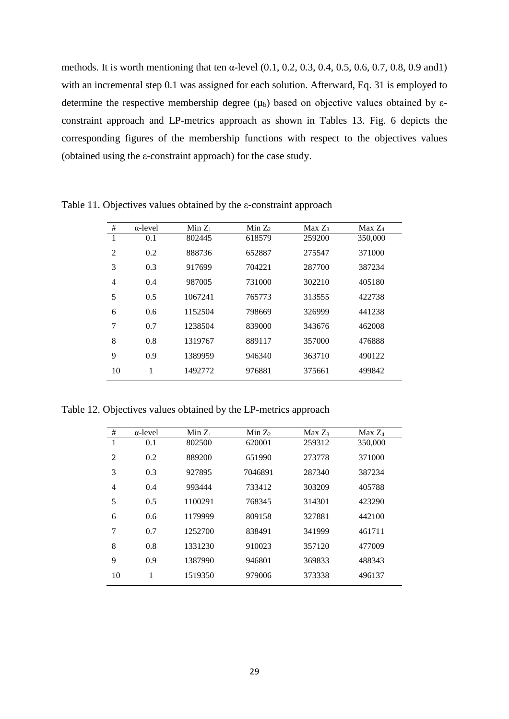methods. It is worth mentioning that ten  $\alpha$ -level  $(0.1, 0.2, 0.3, 0.4, 0.5, 0.6, 0.7, 0.8, 0.9 \text{ and} 1)$ with an incremental step 0.1 was assigned for each solution. Afterward, Eq. 31 is employed to determine the respective membership degree  $(\mu_b)$  based on objective values obtained by  $\varepsilon$ constraint approach and LP-metrics approach as shown in Tables 13. Fig. 6 depicts the corresponding figures of the membership functions with respect to the objectives values (obtained using the ε-constraint approach) for the case study.

| #              | $\alpha$ -level | $Min Z_1$ | Min $Z_2$ | Max $Z_3$ | $Max Z_4$ |
|----------------|-----------------|-----------|-----------|-----------|-----------|
| $\mathbf{1}$   | 0.1             | 802445    | 618579    | 259200    | 350,000   |
| $\overline{2}$ | 0.2             | 888736    | 652887    | 275547    | 371000    |
| 3              | 0.3             | 917699    | 704221    | 287700    | 387234    |
| $\overline{4}$ | 0.4             | 987005    | 731000    | 302210    | 405180    |
| 5              | 0.5             | 1067241   | 765773    | 313555    | 422738    |
| 6              | 0.6             | 1152504   | 798669    | 326999    | 441238    |
| 7              | 0.7             | 1238504   | 839000    | 343676    | 462008    |
| 8              | 0.8             | 1319767   | 889117    | 357000    | 476888    |
| 9              | 0.9             | 1389959   | 946340    | 363710    | 490122    |
| 10             | 1               | 1492772   | 976881    | 375661    | 499842    |

Table 11. Objectives values obtained by the ε-constraint approach

Table 12. Objectives values obtained by the LP-metrics approach

| $\#$           | $\alpha$ -level | $Min Z_1$ | Min $Z_2$ | Max $Z_3$ | $Max Z_4$ |
|----------------|-----------------|-----------|-----------|-----------|-----------|
| 1              | 0.1             | 802500    | 620001    | 259312    | 350,000   |
| $\overline{2}$ | 0.2             | 889200    | 651990    | 273778    | 371000    |
| 3              | 0.3             | 927895    | 7046891   | 287340    | 387234    |
| 4              | 0.4             | 993444    | 733412    | 303209    | 405788    |
| 5              | 0.5             | 1100291   | 768345    | 314301    | 423290    |
| 6              | 0.6             | 1179999   | 809158    | 327881    | 442100    |
| 7              | 0.7             | 1252700   | 838491    | 341999    | 461711    |
| 8              | 0.8             | 1331230   | 910023    | 357120    | 477009    |
| 9              | 0.9             | 1387990   | 946801    | 369833    | 488343    |
| 10             | 1               | 1519350   | 979006    | 373338    | 496137    |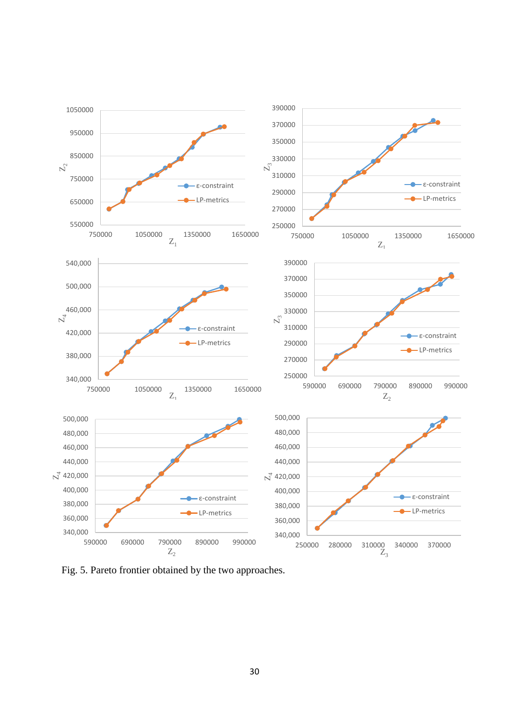

Fig. 5. Pareto frontier obtained by the two approaches.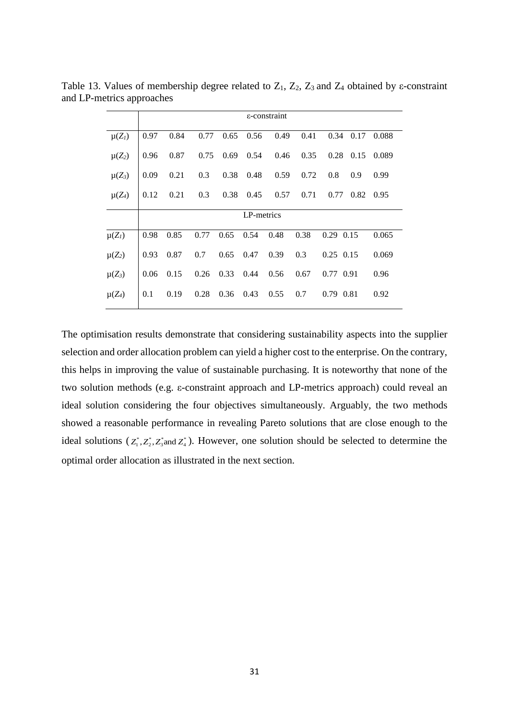|            | ε-constraint |      |      |      |      |      |      |             |      |       |
|------------|--------------|------|------|------|------|------|------|-------------|------|-------|
| $\mu(Z_i)$ | 0.97         | 0.84 | 0.77 | 0.65 | 0.56 | 0.49 | 0.41 | 0.34        | 0.17 | 0.088 |
| $\mu(Z_2)$ | 0.96         | 0.87 | 0.75 | 0.69 | 0.54 | 0.46 | 0.35 | 0.28        | 0.15 | 0.089 |
| $\mu(Z_3)$ | 0.09         | 0.21 | 0.3  | 0.38 | 0.48 | 0.59 | 0.72 | 0.8         | 0.9  | 0.99  |
| $\mu(Z_4)$ | 0.12         | 0.21 | 0.3  | 0.38 | 0.45 | 0.57 | 0.71 | 0.77        | 0.82 | 0.95  |
|            | LP-metrics   |      |      |      |      |      |      |             |      |       |
| $\mu(Z_i)$ | 0.98         | 0.85 | 0.77 | 0.65 | 0.54 | 0.48 | 0.38 | 0.29        | 0.15 | 0.065 |
| $\mu(Z_2)$ | 0.93         | 0.87 | 0.7  | 0.65 | 0.47 | 0.39 | 0.3  | $0.25$ 0.15 |      | 0.069 |
| $\mu(Z_3)$ | 0.06         | 0.15 | 0.26 | 0.33 | 0.44 | 0.56 | 0.67 | 0.77 0.91   |      | 0.96  |
| $\mu(Z_4)$ | 0.1          | 0.19 | 0.28 | 0.36 | 0.43 | 0.55 | 0.7  | 0.79 0.81   |      | 0.92  |

Table 13. Values of membership degree related to  $Z_1$ ,  $Z_2$ ,  $Z_3$  and  $Z_4$  obtained by  $\varepsilon$ -constraint and LP-metrics approaches

The optimisation results demonstrate that considering sustainability aspects into the supplier selection and order allocation problem can yield a higher cost to the enterprise. On the contrary, this helps in improving the value of sustainable purchasing. It is noteworthy that none of the two solution methods (e.g. ε-constraint approach and LP-metrics approach) could reveal an ideal solution considering the four objectives simultaneously. Arguably, the two methods showed a reasonable performance in revealing Pareto solutions that are close enough to the ideal solutions  $(z_1^*, z_2^*, z_3^*$  and  $z_4^*$ ). However, one solution should be selected to determine the optimal order allocation as illustrated in the next section.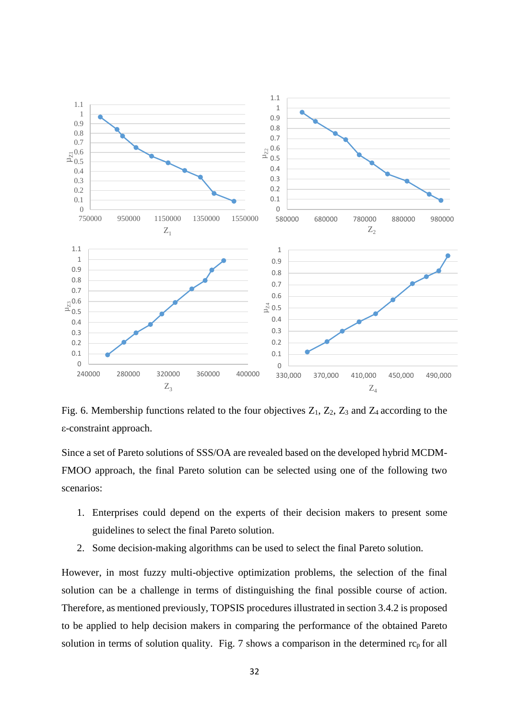

Fig. 6. Membership functions related to the four objectives  $Z_1$ ,  $Z_2$ ,  $Z_3$  and  $Z_4$  according to the ε-constraint approach.

Since a set of Pareto solutions of SSS/OA are revealed based on the developed hybrid MCDM-FMOO approach, the final Pareto solution can be selected using one of the following two scenarios:

- 1. Enterprises could depend on the experts of their decision makers to present some guidelines to select the final Pareto solution.
- 2. Some decision-making algorithms can be used to select the final Pareto solution.

However, in most fuzzy multi-objective optimization problems, the selection of the final solution can be a challenge in terms of distinguishing the final possible course of action. Therefore, as mentioned previously, TOPSIS procedures illustrated in section 3.4.2 is proposed to be applied to help decision makers in comparing the performance of the obtained Pareto solution in terms of solution quality. Fig. 7 shows a comparison in the determined  $rc_p$  for all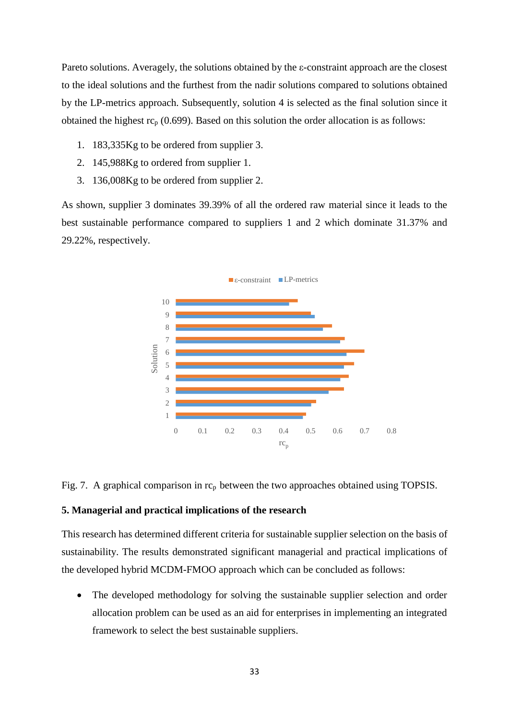Pareto solutions. Averagely, the solutions obtained by the ε-constraint approach are the closest to the ideal solutions and the furthest from the nadir solutions compared to solutions obtained by the LP-metrics approach. Subsequently, solution 4 is selected as the final solution since it obtained the highest  $rc_p$  (0.699). Based on this solution the order allocation is as follows:

- 1. 183,335Kg to be ordered from supplier 3.
- 2. 145,988Kg to ordered from supplier 1.
- 3. 136,008Kg to be ordered from supplier 2.

As shown, supplier 3 dominates 39.39% of all the ordered raw material since it leads to the best sustainable performance compared to suppliers 1 and 2 which dominate 31.37% and 29.22%, respectively.



Fig. 7. A graphical comparison in  $rc_p$  between the two approaches obtained using TOPSIS.

#### **5. Managerial and practical implications of the research**

This research has determined different criteria for sustainable supplier selection on the basis of sustainability. The results demonstrated significant managerial and practical implications of the developed hybrid MCDM-FMOO approach which can be concluded as follows:

• The developed methodology for solving the sustainable supplier selection and order allocation problem can be used as an aid for enterprises in implementing an integrated framework to select the best sustainable suppliers.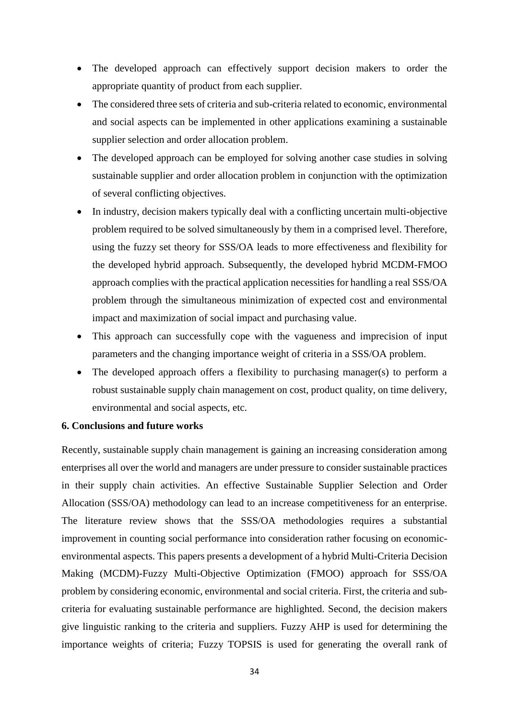- The developed approach can effectively support decision makers to order the appropriate quantity of product from each supplier.
- The considered three sets of criteria and sub-criteria related to economic, environmental and social aspects can be implemented in other applications examining a sustainable supplier selection and order allocation problem.
- The developed approach can be employed for solving another case studies in solving sustainable supplier and order allocation problem in conjunction with the optimization of several conflicting objectives.
- In industry, decision makers typically deal with a conflicting uncertain multi-objective problem required to be solved simultaneously by them in a comprised level. Therefore, using the fuzzy set theory for SSS/OA leads to more effectiveness and flexibility for the developed hybrid approach. Subsequently, the developed hybrid MCDM-FMOO approach complies with the practical application necessities for handling a real SSS/OA problem through the simultaneous minimization of expected cost and environmental impact and maximization of social impact and purchasing value.
- This approach can successfully cope with the vagueness and imprecision of input parameters and the changing importance weight of criteria in a SSS/OA problem.
- The developed approach offers a flexibility to purchasing manager(s) to perform a robust sustainable supply chain management on cost, product quality, on time delivery, environmental and social aspects, etc.

#### **6. Conclusions and future works**

Recently, sustainable supply chain management is gaining an increasing consideration among enterprises all over the world and managers are under pressure to consider sustainable practices in their supply chain activities. An effective Sustainable Supplier Selection and Order Allocation (SSS/OA) methodology can lead to an increase competitiveness for an enterprise. The literature review shows that the SSS/OA methodologies requires a substantial improvement in counting social performance into consideration rather focusing on economicenvironmental aspects. This papers presents a development of a hybrid Multi-Criteria Decision Making (MCDM)-Fuzzy Multi-Objective Optimization (FMOO) approach for SSS/OA problem by considering economic, environmental and social criteria. First, the criteria and subcriteria for evaluating sustainable performance are highlighted. Second, the decision makers give linguistic ranking to the criteria and suppliers. Fuzzy AHP is used for determining the importance weights of criteria; Fuzzy TOPSIS is used for generating the overall rank of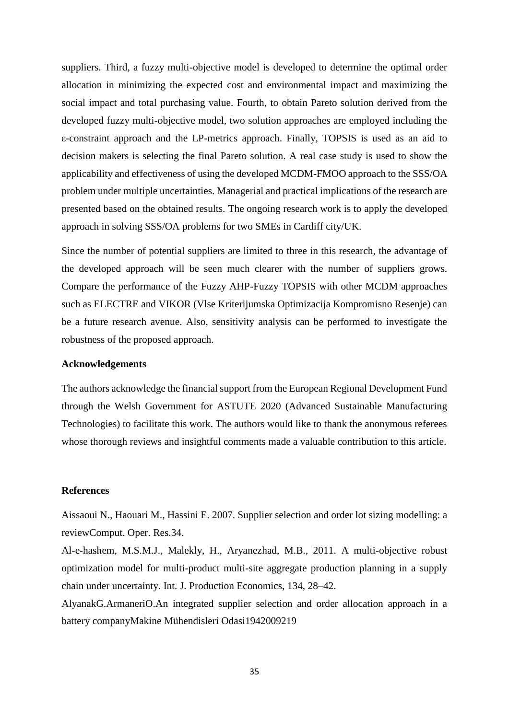suppliers. Third, a fuzzy multi-objective model is developed to determine the optimal order allocation in minimizing the expected cost and environmental impact and maximizing the social impact and total purchasing value. Fourth, to obtain Pareto solution derived from the developed fuzzy multi-objective model, two solution approaches are employed including the ε-constraint approach and the LP-metrics approach. Finally, TOPSIS is used as an aid to decision makers is selecting the final Pareto solution. A real case study is used to show the applicability and effectiveness of using the developed MCDM-FMOO approach to the SSS/OA problem under multiple uncertainties. Managerial and practical implications of the research are presented based on the obtained results. The ongoing research work is to apply the developed approach in solving SSS/OA problems for two SMEs in Cardiff city/UK.

Since the number of potential suppliers are limited to three in this research, the advantage of the developed approach will be seen much clearer with the number of suppliers grows. Compare the performance of the Fuzzy AHP-Fuzzy TOPSIS with other MCDM approaches such as ELECTRE and VIKOR (Vlse Kriterijumska Optimizacija Kompromisno Resenje) can be a future research avenue. Also, sensitivity analysis can be performed to investigate the robustness of the proposed approach.

#### **Acknowledgements**

The authors acknowledge the financial support from the European Regional Development Fund through the Welsh Government for ASTUTE 2020 (Advanced Sustainable Manufacturing Technologies) to facilitate this work. The authors would like to thank the anonymous referees whose thorough reviews and insightful comments made a valuable contribution to this article.

#### **References**

Aissaoui N., Haouari M., Hassini E. 2007. Supplier selection and order lot sizing modelling: a reviewComput. Oper. Res.34.

Al-e-hashem, M.S.M.J., Malekly, H., Aryanezhad, M.B., 2011. A multi-objective robust optimization model for multi-product multi-site aggregate production planning in a supply chain under uncertainty. Int. J. Production Economics, 134, 28–42.

AlyanakG.ArmaneriO.An integrated supplier selection and order allocation approach in a battery companyMakine Mühendisleri Odasi1942009219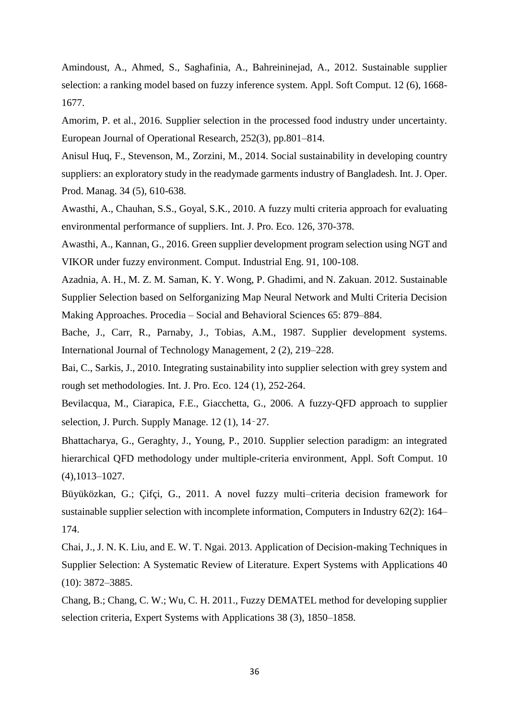Amindoust, A., Ahmed, S., Saghafinia, A., Bahreininejad, A., 2012. Sustainable supplier selection: a ranking model based on fuzzy inference system. Appl. Soft Comput. 12 (6), 1668- 1677.

Amorim, P. et al., 2016. Supplier selection in the processed food industry under uncertainty. European Journal of Operational Research, 252(3), pp.801–814.

Anisul Huq, F., Stevenson, M., Zorzini, M., 2014. Social sustainability in developing country suppliers: an exploratory study in the readymade garments industry of Bangladesh. Int. J. Oper. Prod. Manag. 34 (5), 610-638.

Awasthi, A., Chauhan, S.S., Goyal, S.K., 2010. A fuzzy multi criteria approach for evaluating environmental performance of suppliers. Int. J. Pro. Eco. 126, 370-378.

Awasthi, A., Kannan, G., 2016. Green supplier development program selection using NGT and VIKOR under fuzzy environment. Comput. Industrial Eng. 91, 100-108.

Azadnia, A. H., M. Z. M. Saman, K. Y. Wong, P. Ghadimi, and N. Zakuan. 2012. Sustainable Supplier Selection based on Selforganizing Map Neural Network and Multi Criteria Decision Making Approaches. Procedia – Social and Behavioral Sciences 65: 879–884.

Bache, J., Carr, R., Parnaby, J., Tobias, A.M., 1987. Supplier development systems. International Journal of Technology Management, 2 (2), 219–228.

Bai, C., Sarkis, J., 2010. Integrating sustainability into supplier selection with grey system and rough set methodologies. Int. J. Pro. Eco. 124 (1), 252-264.

Bevilacqua, M., Ciarapica, F.E., Giacchetta, G., 2006. A fuzzy-QFD approach to supplier selection, J. Purch. Supply Manage. 12 (1), 14–27.

Bhattacharya, G., Geraghty, J., Young, P., 2010. Supplier selection paradigm: an integrated hierarchical QFD methodology under multiple-criteria environment, Appl. Soft Comput. 10 (4),1013–1027.

Büyüközkan, G.; Çifçi, G., 2011. A novel fuzzy multi–criteria decision framework for sustainable supplier selection with incomplete information, Computers in Industry 62(2): 164– 174.

Chai, J., J. N. K. Liu, and E. W. T. Ngai. 2013. Application of Decision-making Techniques in Supplier Selection: A Systematic Review of Literature. Expert Systems with Applications 40 (10): 3872–3885.

Chang, B.; Chang, C. W.; Wu, C. H. 2011., Fuzzy DEMATEL method for developing supplier selection criteria, Expert Systems with Applications 38 (3), 1850–1858.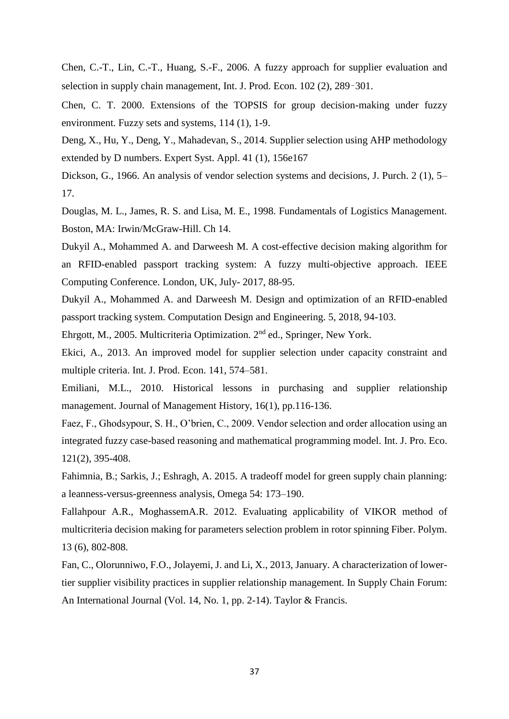Chen, C.-T., Lin, C.-T., Huang, S.-F., 2006. A fuzzy approach for supplier evaluation and selection in supply chain management, Int. J. Prod. Econ. 102 (2), 289–301.

Chen, C. T. 2000. Extensions of the TOPSIS for group decision-making under fuzzy environment. Fuzzy sets and systems, 114 (1), 1-9.

Deng, X., Hu, Y., Deng, Y., Mahadevan, S., 2014. Supplier selection using AHP methodology extended by D numbers. Expert Syst. Appl. 41 (1), 156e167

Dickson, G., 1966. An analysis of vendor selection systems and decisions, J. Purch. 2 (1), 5– 17.

Douglas, M. L., James, R. S. and Lisa, M. E., 1998. Fundamentals of Logistics Management. Boston, MA: Irwin/McGraw-Hill. Ch 14.

Dukyil A., Mohammed A. and Darweesh M. A cost-effective decision making algorithm for an RFID-enabled passport tracking system: A fuzzy multi-objective approach. IEEE Computing Conference. London, UK, July- 2017, 88-95.

Dukyil A., Mohammed A. and Darweesh M. Design and optimization of an RFID-enabled passport tracking system. Computation Design and Engineering. 5, 2018, 94-103.

Ehrgott, M., 2005. Multicriteria Optimization. 2<sup>nd</sup> ed., Springer, New York.

Ekici, A., 2013. An improved model for supplier selection under capacity constraint and multiple criteria. Int. J. Prod. Econ. 141, 574–581.

Emiliani, M.L., 2010. Historical lessons in purchasing and supplier relationship management. Journal of Management History, 16(1), pp.116-136.

Faez, F., Ghodsypour, S. H., O'brien, C., 2009. Vendor selection and order allocation using an integrated fuzzy case-based reasoning and mathematical programming model. Int. J. Pro. Eco. 121(2), 395-408.

Fahimnia, B.; Sarkis, J.; Eshragh, A. 2015. A tradeoff model for green supply chain planning: a leanness-versus-greenness analysis, Omega 54: 173–190.

Fallahpour A.R., MoghassemA.R. 2012. Evaluating applicability of VIKOR method of multicriteria decision making for parameters selection problem in rotor spinning Fiber. Polym. 13 (6), 802-808.

Fan, C., Olorunniwo, F.O., Jolayemi, J. and Li, X., 2013, January. A characterization of lowertier supplier visibility practices in supplier relationship management. In Supply Chain Forum: An International Journal (Vol. 14, No. 1, pp. 2-14). Taylor & Francis.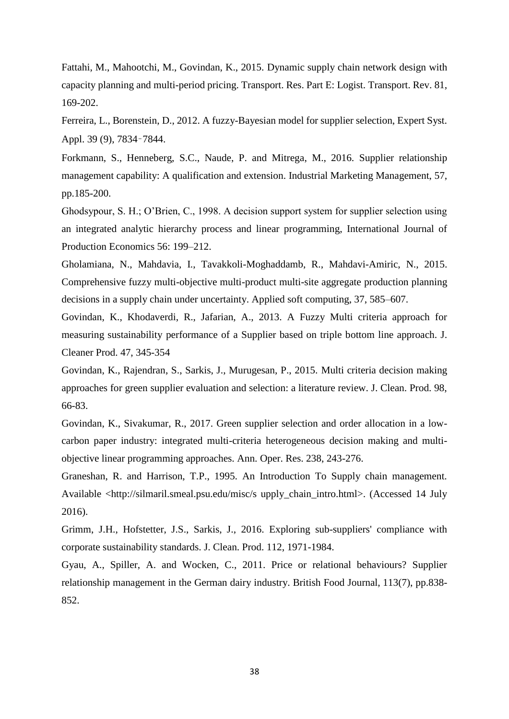Fattahi, M., Mahootchi, M., Govindan, K., 2015. Dynamic supply chain network design with capacity planning and multi-period pricing. Transport. Res. Part E: Logist. Transport. Rev. 81, 169-202.

Ferreira, L., Borenstein, D., 2012. A fuzzy-Bayesian model for supplier selection, Expert Syst. Appl. 39 (9), 7834–7844.

Forkmann, S., Henneberg, S.C., Naude, P. and Mitrega, M., 2016. Supplier relationship management capability: A qualification and extension. Industrial Marketing Management, 57, pp.185-200.

Ghodsypour, S. H.; O'Brien, C., 1998. A decision support system for supplier selection using an integrated analytic hierarchy process and linear programming, International Journal of Production Economics 56: 199–212.

Gholamiana, N., Mahdavia, I., Tavakkoli-Moghaddamb, R., Mahdavi-Amiric, N., 2015. Comprehensive fuzzy multi-objective multi-product multi-site aggregate production planning decisions in a supply chain under uncertainty. Applied soft computing, 37, 585–607.

Govindan, K., Khodaverdi, R., Jafarian, A., 2013. A Fuzzy Multi criteria approach for measuring sustainability performance of a Supplier based on triple bottom line approach. J. Cleaner Prod. 47, 345-354

Govindan, K., Rajendran, S., Sarkis, J., Murugesan, P., 2015. Multi criteria decision making approaches for green supplier evaluation and selection: a literature review. J. Clean. Prod. 98, 66-83.

Govindan, K., Sivakumar, R., 2017. Green supplier selection and order allocation in a lowcarbon paper industry: integrated multi-criteria heterogeneous decision making and multiobjective linear programming approaches. Ann. Oper. Res. 238, 243-276.

Graneshan, R. and Harrison, T.P., 1995. An Introduction To Supply chain management. Available <http://silmaril.smeal.psu.edu/misc/s upply\_chain\_intro.html>. (Accessed 14 July 2016).

Grimm, J.H., Hofstetter, J.S., Sarkis, J., 2016. Exploring sub-suppliers' compliance with corporate sustainability standards. J. Clean. Prod. 112, 1971-1984.

Gyau, A., Spiller, A. and Wocken, C., 2011. Price or relational behaviours? Supplier relationship management in the German dairy industry. British Food Journal, 113(7), pp.838- 852.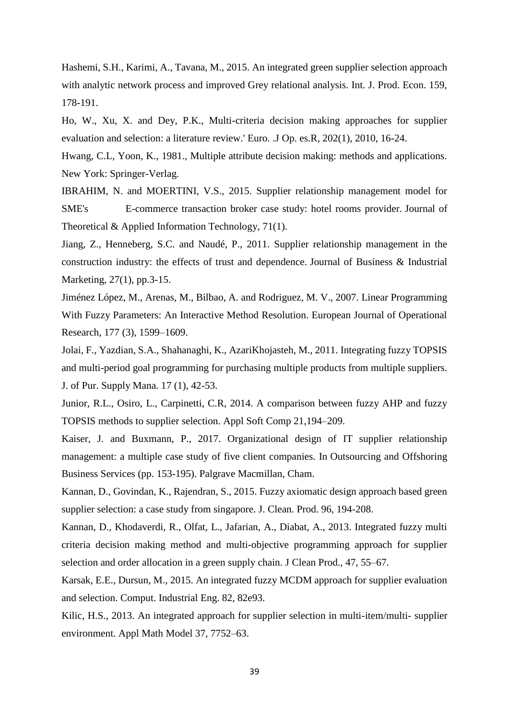Hashemi, S.H., Karimi, A., Tavana, M., 2015. An integrated green supplier selection approach with analytic network process and improved Grey relational analysis. Int. J. Prod. Econ. 159, 178-191.

Ho, W., Xu, X. and Dey, P.K., Multi-criteria decision making approaches for supplier evaluation and selection: a literature review.' Euro. .J Op. es.R, 202(1), 2010, 16-24.

Hwang, C.L, Yoon, K., 1981., Multiple attribute decision making: methods and applications. New York: Springer-Verlag.

IBRAHIM, N. and MOERTINI, V.S., 2015. Supplier relationship management model for SME's E-commerce transaction broker case study: hotel rooms provider. Journal of Theoretical & Applied Information Technology, 71(1).

Jiang, Z., Henneberg, S.C. and Naudé, P., 2011. Supplier relationship management in the construction industry: the effects of trust and dependence. Journal of Business & Industrial Marketing, 27(1), pp.3-15.

Jiménez López, M., Arenas, M., Bilbao, A. and Rodriguez, M. V., 2007. Linear Programming With Fuzzy Parameters: An Interactive Method Resolution. European Journal of Operational Research, 177 (3), 1599–1609.

Jolai, F., Yazdian, S.A., Shahanaghi, K., AzariKhojasteh, M., 2011. Integrating fuzzy TOPSIS and multi-period goal programming for purchasing multiple products from multiple suppliers. J. of Pur. Supply Mana. 17 (1), 42-53.

Junior, R.L., Osiro, L., Carpinetti, C.R, 2014. A comparison between fuzzy AHP and fuzzy TOPSIS methods to supplier selection. Appl Soft Comp 21,194–209.

Kaiser, J. and Buxmann, P., 2017. Organizational design of IT supplier relationship management: a multiple case study of five client companies. In Outsourcing and Offshoring Business Services (pp. 153-195). Palgrave Macmillan, Cham.

Kannan, D., Govindan, K., Rajendran, S., 2015. Fuzzy axiomatic design approach based green supplier selection: a case study from singapore. J. Clean. Prod. 96, 194-208.

Kannan, D., Khodaverdi, R., Olfat, L., Jafarian, A., Diabat, A., 2013. Integrated fuzzy multi criteria decision making method and multi-objective programming approach for supplier selection and order allocation in a green supply chain. J Clean Prod., 47, 55–67.

Karsak, E.E., Dursun, M., 2015. An integrated fuzzy MCDM approach for supplier evaluation and selection. Comput. Industrial Eng. 82, 82e93.

Kilic, H.S., 2013. An integrated approach for supplier selection in multi-item/multi- supplier environment. Appl Math Model 37, 7752–63.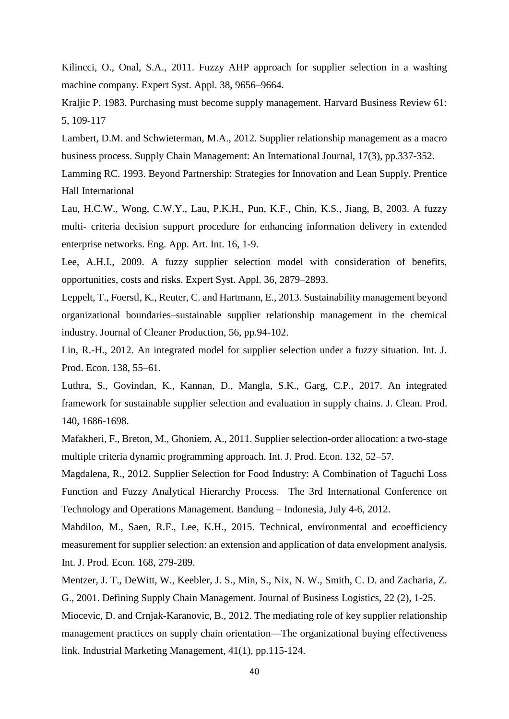Kilincci, O., Onal, S.A., 2011. Fuzzy AHP approach for supplier selection in a washing machine company. Expert Syst. Appl. 38, 9656–9664.

Kraljic P. 1983. Purchasing must become supply management. Harvard Business Review 61: 5, 109-117

Lambert, D.M. and Schwieterman, M.A., 2012. Supplier relationship management as a macro business process. Supply Chain Management: An International Journal, 17(3), pp.337-352.

Lamming RC. 1993. Beyond Partnership: Strategies for Innovation and Lean Supply. Prentice Hall International

Lau, H.C.W., Wong, C.W.Y., Lau, P.K.H., Pun, K.F., Chin, K.S., Jiang, B, 2003. A fuzzy multi- criteria decision support procedure for enhancing information delivery in extended enterprise networks. Eng. App. Art. Int. 16, 1-9.

Lee, A.H.I., 2009. A fuzzy supplier selection model with consideration of benefits, opportunities, costs and risks. Expert Syst. Appl. 36, 2879–2893.

Leppelt, T., Foerstl, K., Reuter, C. and Hartmann, E., 2013. Sustainability management beyond organizational boundaries–sustainable supplier relationship management in the chemical industry. Journal of Cleaner Production, 56, pp.94-102.

Lin, R.-H., 2012. An integrated model for supplier selection under a fuzzy situation. Int. J. Prod. Econ. 138, 55–61.

Luthra, S., Govindan, K., Kannan, D., Mangla, S.K., Garg, C.P., 2017. An integrated framework for sustainable supplier selection and evaluation in supply chains. J. Clean. Prod. 140, 1686-1698.

Mafakheri, F., Breton, M., Ghoniem, A., 2011. Supplier selection-order allocation: a two-stage multiple criteria dynamic programming approach. Int. J. Prod. Econ. 132, 52–57.

Magdalena, R., 2012. Supplier Selection for Food Industry: A Combination of Taguchi Loss Function and Fuzzy Analytical Hierarchy Process. The 3rd International Conference on Technology and Operations Management. Bandung – Indonesia, July 4-6, 2012.

Mahdiloo, M., Saen, R.F., Lee, K.H., 2015. Technical, environmental and ecoefficiency measurement for supplier selection: an extension and application of data envelopment analysis. Int. J. Prod. Econ. 168, 279-289.

Mentzer, J. T., DeWitt, W., Keebler, J. S., Min, S., Nix, N. W., Smith, C. D. and Zacharia, Z. G., 2001. Defining Supply Chain Management. Journal of Business Logistics, 22 (2), 1-25.

Miocevic, D. and Crnjak-Karanovic, B., 2012. The mediating role of key supplier relationship management practices on supply chain orientation—The organizational buying effectiveness link. Industrial Marketing Management, 41(1), pp.115-124.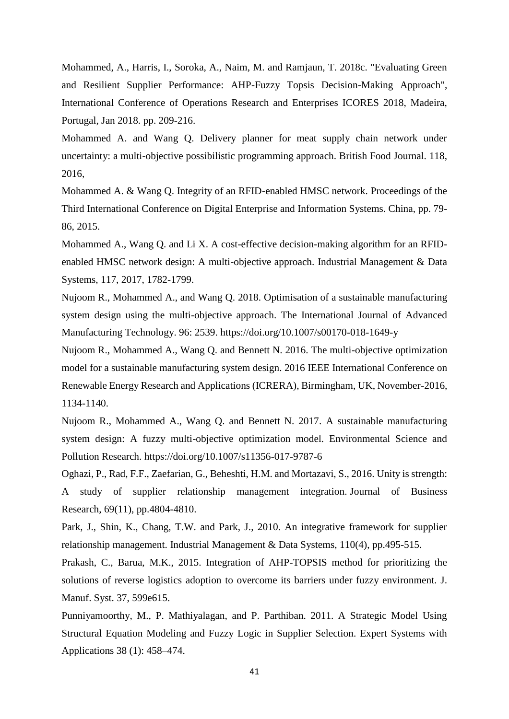Mohammed, A., Harris, I., Soroka, A., Naim, M. and Ramjaun, T. 2018c. "Evaluating Green and Resilient Supplier Performance: AHP-Fuzzy Topsis Decision-Making Approach", International Conference of Operations Research and Enterprises ICORES 2018, Madeira, Portugal, Jan 2018. pp. 209-216.

Mohammed A. and Wang Q. Delivery planner for meat supply chain network under uncertainty: a multi-objective possibilistic programming approach. British Food Journal. 118, 2016,

Mohammed A. & Wang Q. Integrity of an RFID-enabled HMSC network. Proceedings of the Third International Conference on Digital Enterprise and Information Systems. China, pp. 79- 86, 2015.

Mohammed A., Wang Q. and Li X. A cost-effective decision-making algorithm for an RFIDenabled HMSC network design: A multi-objective approach. Industrial Management & Data Systems, 117, 2017, 1782-1799.

Nujoom R., Mohammed A., and Wang Q. 2018. Optimisation of a sustainable manufacturing system design using the multi-objective approach. The International Journal of Advanced Manufacturing Technology. 96: 2539. https://doi.org/10.1007/s00170-018-1649-y

Nujoom R., Mohammed A., Wang Q. and Bennett N. 2016. The multi-objective optimization model for a sustainable manufacturing system design. 2016 IEEE International Conference on Renewable Energy Research and Applications (ICRERA), Birmingham, UK, November-2016, 1134-1140.

Nujoom R., Mohammed A., Wang Q. and Bennett N. 2017. A sustainable manufacturing system design: A fuzzy multi-objective optimization model. Environmental Science and Pollution Research. https://doi.org/10.1007/s11356-017-9787-6

Oghazi, P., Rad, F.F., Zaefarian, G., Beheshti, H.M. and Mortazavi, S., 2016. Unity is strength: A study of supplier relationship management integration. Journal of Business Research, 69(11), pp.4804-4810.

Park, J., Shin, K., Chang, T.W. and Park, J., 2010. An integrative framework for supplier relationship management. Industrial Management & Data Systems, 110(4), pp.495-515.

Prakash, C., Barua, M.K., 2015. Integration of AHP-TOPSIS method for prioritizing the solutions of reverse logistics adoption to overcome its barriers under fuzzy environment. J. Manuf. Syst. 37, 599e615.

Punniyamoorthy, M., P. Mathiyalagan, and P. Parthiban. 2011. A Strategic Model Using Structural Equation Modeling and Fuzzy Logic in Supplier Selection. Expert Systems with Applications 38 (1): 458–474.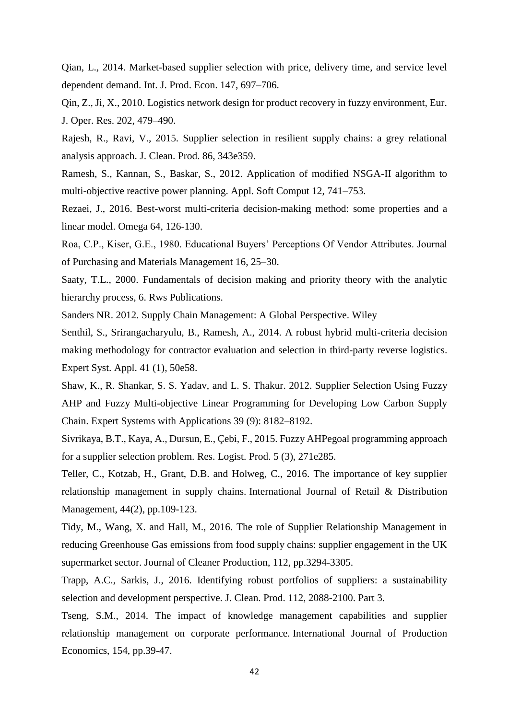Qian, L., 2014. Market-based supplier selection with price, delivery time, and service level dependent demand. Int. J. Prod. Econ. 147, 697–706.

Qin, Z., Ji, X., 2010. Logistics network design for product recovery in fuzzy environment, Eur. J. Oper. Res. 202, 479–490.

Rajesh, R., Ravi, V., 2015. Supplier selection in resilient supply chains: a grey relational analysis approach. J. Clean. Prod. 86, 343e359.

Ramesh, S., Kannan, S., Baskar, S., 2012. Application of modified NSGA-II algorithm to multi-objective reactive power planning. Appl. Soft Comput 12, 741–753.

Rezaei, J., 2016. Best-worst multi-criteria decision-making method: some properties and a linear model. Omega 64, 126-130.

Roa, C.P., Kiser, G.E., 1980. Educational Buyers' Perceptions Of Vendor Attributes. Journal of Purchasing and Materials Management 16, 25–30.

Saaty, T.L., 2000. Fundamentals of decision making and priority theory with the analytic hierarchy process, 6. Rws Publications.

Sanders NR. 2012. Supply Chain Management: A Global Perspective. Wiley

Senthil, S., Srirangacharyulu, B., Ramesh, A., 2014. A robust hybrid multi-criteria decision making methodology for contractor evaluation and selection in third-party reverse logistics. Expert Syst. Appl. 41 (1), 50e58.

Shaw, K., R. Shankar, S. S. Yadav, and L. S. Thakur. 2012. Supplier Selection Using Fuzzy AHP and Fuzzy Multi-objective Linear Programming for Developing Low Carbon Supply Chain. Expert Systems with Applications 39 (9): 8182–8192.

Sivrikaya, B.T., Kaya, A., Dursun, E., Çebi, F., 2015. Fuzzy AHPegoal programming approach for a supplier selection problem. Res. Logist. Prod. 5 (3), 271e285.

Teller, C., Kotzab, H., Grant, D.B. and Holweg, C., 2016. The importance of key supplier relationship management in supply chains. International Journal of Retail & Distribution Management, 44(2), pp.109-123.

Tidy, M., Wang, X. and Hall, M., 2016. The role of Supplier Relationship Management in reducing Greenhouse Gas emissions from food supply chains: supplier engagement in the UK supermarket sector. Journal of Cleaner Production, 112, pp.3294-3305.

Trapp, A.C., Sarkis, J., 2016. Identifying robust portfolios of suppliers: a sustainability selection and development perspective. J. Clean. Prod. 112, 2088-2100. Part 3.

Tseng, S.M., 2014. The impact of knowledge management capabilities and supplier relationship management on corporate performance. International Journal of Production Economics, 154, pp.39-47.